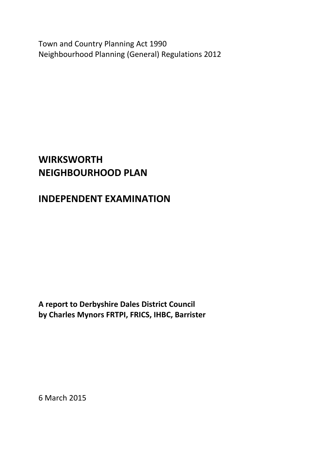Town and Country Planning Act 1990 Neighbourhood Planning (General) Regulations 2012

# **WIRKSWORTH NEIGHBOURHOOD PLAN**

# **INDEPENDENT EXAMINATION**

**A report to Derbyshire Dales District Council by Charles Mynors FRTPI, FRICS, IHBC, Barrister**

6 March 2015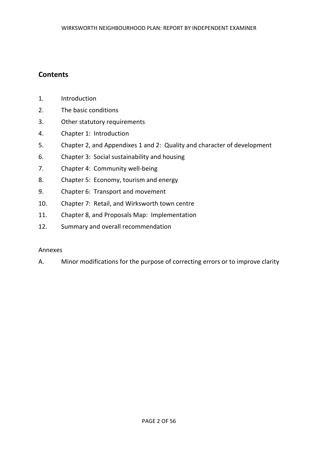# **Contents**

- 1. Introduction
- 2. The basic conditions
- 3. Other statutory requirements
- 4. Chapter 1: Introduction
- 5. Chapter 2, and Appendixes 1 and 2: Quality and character of development
- 6. Chapter 3: Social sustainability and housing
- 7. Chapter 4: Community well-being
- 8. Chapter 5: Economy, tourism and energy
- 9. Chapter 6: Transport and movement
- 10. Chapter 7: Retail, and Wirksworth town centre
- 11. Chapter 8, and Proposals Map: Implementation
- 12. Summary and overall recommendation

# Annexes

A. Minor modifications for the purpose of correcting errors or to improve clarity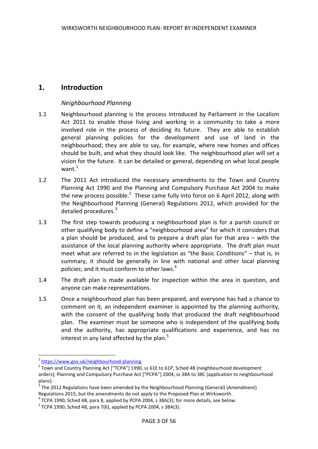# **1. Introduction**

# *Neighbourhood Planning*

- 1.1 Neighbourhood planning is the process introduced by Parliament in the Localism Act 2011 to enable those living and working in a community to take a more involved role in the process of deciding its future. They are able to establish general planning policies for the development and use of land in the neighbourhood; they are able to say, for example, where new homes and offices should be built, and what they should look like. The neighbourhood plan will set a vision for the future. It can be detailed or general, depending on what local people want $^1$
- 1.2 The 2011 Act introduced the necessary amendments to the Town and Country Planning Act 1990 and the Planning and Compulsory Purchase Act 2004 to make the new process possible.<sup>2</sup> These came fully into force on 6 April 2012, along with the Neighbourhood Planning (General) Regulations 2012, which provided for the detailed procedures.<sup>3</sup>
- 1.3 The first step towards producing a neighbourhood plan is for a parish council or other qualifying body to define a "neighbourhood area" for which it considers that a plan should be produced, and to prepare a draft plan for that area – with the assistance of the local planning authority where appropriate. The draft plan must meet what are referred to in the legislation as "the Basic Conditions" – that is, in summary, it should be generally in line with national and other local planning policies; and it must conform to other laws.<sup>4</sup>
- 1.4 The draft plan is made available for inspection within the area in question, and anyone can make representations.
- 1.5 Once a neighbourhood plan has been prepared, and everyone has had a chance to comment on it, an independent examiner is appointed by the planning authority, with the consent of the qualifying body that produced the draft neighbourhood plan. The examiner must be someone who is independent of the qualifying body and the authority, has appropriate qualifications and experience, and has no interest in any land affected by the plan. $5$

**.** 

<sup>&</sup>lt;sup>1</sup> https://www.gov.uk/neighbourhood-planning

 $2$  Town and Country Planning Act ["TCPA"] 1990, ss 61E to 61P, Sched 4B (neighbourhood development orders); Planning and Compulsory Purchase Act ["PCPA"] 2004, ss 38A to 38C (application to neighbourhood plans).

 $3$  The 2012 Regulations have been amended by the Neighbourhood Planning (General) (Amendment) Regulations 2015, but the amendments do not apply to the Proposed Plan at Wirksworth.

 $^{4}$  TCPA 1990, Sched 4B, para 8, applied by PCPA 2004, s 38A(3); for more details, see below.

 $5$  TCPA 1990, Sched 4B, para 7(6), applied by PCPA 2004, s 38A(3).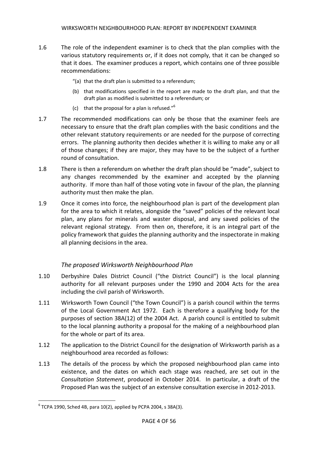- 1.6 The role of the independent examiner is to check that the plan complies with the various statutory requirements or, if it does not comply, that it can be changed so that it does. The examiner produces a report, which contains one of three possible recommendations:
	- "(a) that the draft plan is submitted to a referendum;
	- (b) that modifications specified in the report are made to the draft plan, and that the draft plan as modified is submitted to a referendum; or
	- (c) that the proposal for a plan is refused." $6$
- 1.7 The recommended modifications can only be those that the examiner feels are necessary to ensure that the draft plan complies with the basic conditions and the other relevant statutory requirements or are needed for the purpose of correcting errors. The planning authority then decides whether it is willing to make any or all of those changes; if they are major, they may have to be the subject of a further round of consultation.
- 1.8 There is then a referendum on whether the draft plan should be "made", subject to any changes recommended by the examiner and accepted by the planning authority. If more than half of those voting vote in favour of the plan, the planning authority must then make the plan.
- 1.9 Once it comes into force, the neighbourhood plan is part of the development plan for the area to which it relates, alongside the "saved" policies of the relevant local plan, any plans for minerals and waster disposal, and any saved policies of the relevant regional strategy. From then on, therefore, it is an integral part of the policy framework that guides the planning authority and the inspectorate in making all planning decisions in the area.

# *The proposed Wirksworth Neighbourhood Plan*

- 1.10 Derbyshire Dales District Council ("the District Council") is the local planning authority for all relevant purposes under the 1990 and 2004 Acts for the area including the civil parish of Wirksworth.
- 1.11 Wirksworth Town Council ("the Town Council") is a parish council within the terms of the Local Government Act 1972. Each is therefore a qualifying body for the purposes of section 38A(12) of the 2004 Act. A parish council is entitled to submit to the local planning authority a proposal for the making of a neighbourhood plan for the whole or part of its area.
- 1.12 The application to the District Council for the designation of Wirksworth parish as a neighbourhood area recorded as follows:
- 1.13 The details of the process by which the proposed neighbourhood plan came into existence, and the dates on which each stage was reached, are set out in the *Consultation Statement*, produced in October 2014. In particular, a draft of the Proposed Plan was the subject of an extensive consultation exercise in 2012-2013.

 $\overline{a}$ 

 $6$  TCPA 1990, Sched 4B, para 10(2), applied by PCPA 2004, s 38A(3).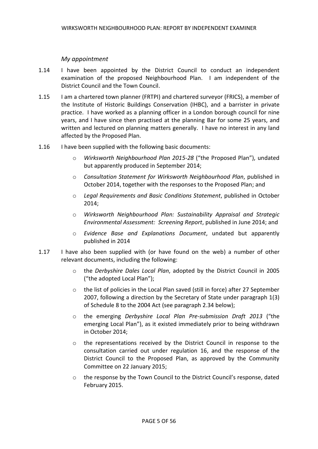#### *My appointment*

- 1.14 I have been appointed by the District Council to conduct an independent examination of the proposed Neighbourhood Plan. I am independent of the District Council and the Town Council.
- 1.15 I am a chartered town planner (FRTPI) and chartered surveyor (FRICS), a member of the Institute of Historic Buildings Conservation (IHBC), and a barrister in private practice. I have worked as a planning officer in a London borough council for nine years, and I have since then practised at the planning Bar for some 25 years, and written and lectured on planning matters generally. I have no interest in any land affected by the Proposed Plan.
- 1.16 I have been supplied with the following basic documents:
	- o *Wirksworth Neighbourhood Plan 2015-28* ("the Proposed Plan"), undated but apparently produced in September 2014;
	- o *Consultation Statement for Wirksworth Neighbourhood Plan*, published in October 2014, together with the responses to the Proposed Plan; and
	- o *Legal Requirements and Basic Conditions Statement*, published in October 2014;
	- o *Wirksworth Neighbourhood Plan: Sustainability Appraisal and Strategic Environmental Assessment: Screening Report*, published in June 2014; and
	- o *Evidence Base and Explanations Document*, undated but apparently published in 2014
- 1.17 I have also been supplied with (or have found on the web) a number of other relevant documents, including the following:
	- o the *Derbyshire Dales Local Plan*, adopted by the District Council in 2005 ("the adopted Local Plan");
	- o the list of policies in the Local Plan saved (still in force) after 27 September 2007, following a direction by the Secretary of State under paragraph 1(3) of Schedule 8 to the 2004 Act (see paragraph 2.34 below);
	- o the emerging *Derbyshire Local Plan Pre-submission Draft 2013* ("the emerging Local Plan"), as it existed immediately prior to being withdrawn in October 2014;
	- o the representations received by the District Council in response to the consultation carried out under regulation 16, and the response of the District Council to the Proposed Plan, as approved by the Community Committee on 22 January 2015;
	- o the response by the Town Council to the District Council's response, dated February 2015.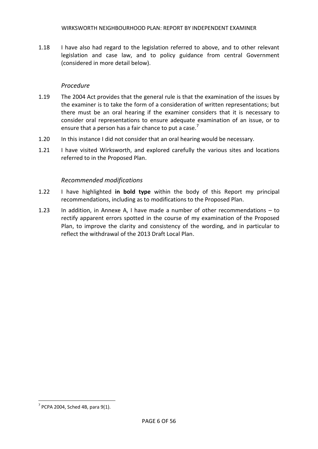1.18 I have also had regard to the legislation referred to above, and to other relevant legislation and case law, and to policy guidance from central Government (considered in more detail below).

#### *Procedure*

- 1.19 The 2004 Act provides that the general rule is that the examination of the issues by the examiner is to take the form of a consideration of written representations; but there must be an oral hearing if the examiner considers that it is necessary to consider oral representations to ensure adequate examination of an issue, or to ensure that a person has a fair chance to put a case.<sup>7</sup>
- 1.20 In this instance I did not consider that an oral hearing would be necessary.
- 1.21 I have visited Wirksworth, and explored carefully the various sites and locations referred to in the Proposed Plan.

#### *Recommended modifications*

- 1.22 I have highlighted **in bold type** within the body of this Report my principal recommendations, including as to modifications to the Proposed Plan.
- 1.23 In addition, in Annexe A, I have made a number of other recommendations to rectify apparent errors spotted in the course of my examination of the Proposed Plan, to improve the clarity and consistency of the wording, and in particular to reflect the withdrawal of the 2013 Draft Local Plan.

 $\overline{a}$ 

 $7$  PCPA 2004, Sched 4B, para 9(1).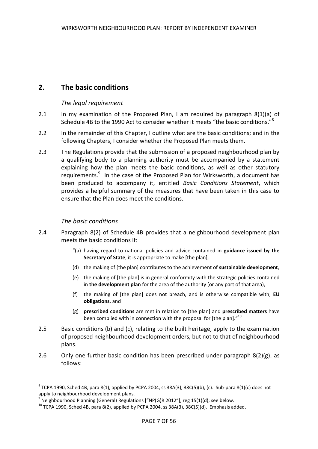# **2. The basic conditions**

#### *The legal requirement*

- 2.1 In my examination of the Proposed Plan, I am required by paragraph 8(1)(a) of Schedule 4B to the 1990 Act to consider whether it meets "the basic conditions."<sup>8</sup>
- 2.2 In the remainder of this Chapter, I outline what are the basic conditions; and in the following Chapters, I consider whether the Proposed Plan meets them.
- 2.3 The Regulations provide that the submission of a proposed neighbourhood plan by a qualifying body to a planning authority must be accompanied by a statement explaining how the plan meets the basic conditions, as well as other statutory requirements.<sup>9</sup> In the case of the Proposed Plan for Wirksworth, a document has been produced to accompany it, entitled *Basic Conditions Statement*, which provides a helpful summary of the measures that have been taken in this case to ensure that the Plan does meet the conditions.

#### *The basic conditions*

**.** 

- 2.4 Paragraph 8(2) of Schedule 4B provides that a neighbourhood development plan meets the basic conditions if:
	- "(a) having regard to national policies and advice contained in **guidance issued by the Secretary of State**, it is appropriate to make [the plan],
	- (d) the making of [the plan] contributes to the achievement of **sustainable development**,
	- (e) the making of [the plan] is in general conformity with the strategic policies contained in **the development plan** for the area of the authority (or any part of that area),
	- (f) the making of [the plan] does not breach, and is otherwise compatible with, **EU obligations**, and
	- (g) **prescribed conditions** are met in relation to [the plan] and **prescribed matters** have been complied with in connection with the proposal for [the plan]. $^{\prime\prime}$ <sup>10</sup>
- 2.5 Basic conditions (b) and (c), relating to the built heritage, apply to the examination of proposed neighbourhood development orders, but not to that of neighbourhood plans.
- 2.6 Only one further basic condition has been prescribed under paragraph  $8(2)(g)$ , as follows:

 $^8$ TCPA 1990, Sched 4B, para 8(1), applied by PCPA 2004, ss 38A(3), 38C(5)(b), (c). Sub-para 8(1)(c) does not apply to neighbourhood development plans.

 $^{9}$  Neighbourhood Planning (General) Regulations ["NP(G)R 2012"], reg 15(1)(d); see below.

 $10$  TCPA 1990, Sched 4B, para 8(2), applied by PCPA 2004, ss 38A(3), 38C(5)(d). Emphasis added.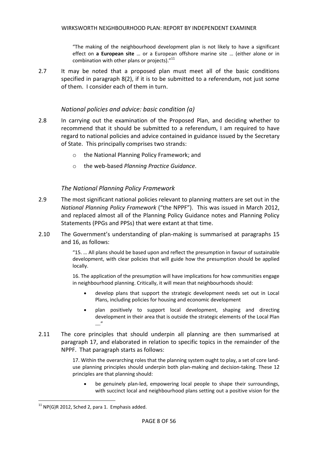"The making of the neighbourhood development plan is not likely to have a significant effect on **a European site** … or a European offshore marine site … (either alone or in combination with other plans or projects)."<sup>11</sup>

2.7 It may be noted that a proposed plan must meet all of the basic conditions specified in paragraph 8(2), if it is to be submitted to a referendum, not just some of them. I consider each of them in turn.

#### *National policies and advice: basic condition (a)*

- 2.8 In carrying out the examination of the Proposed Plan, and deciding whether to recommend that it should be submitted to a referendum, I am required to have regard to national policies and advice contained in guidance issued by the Secretary of State. This principally comprises two strands:
	- o the National Planning Policy Framework; and
	- o the web-based *Planning Practice Guidance*.

# *The National Planning Policy Framework*

- 2.9 The most significant national policies relevant to planning matters are set out in the *National Planning Policy Framework* ("the NPPF"). This was issued in March 2012, and replaced almost all of the Planning Policy Guidance notes and Planning Policy Statements (PPGs and PPSs) that were extant at that time.
- 2.10 The Government's understanding of plan-making is summarised at paragraphs 15 and 16, as follows:

"15. … All plans should be based upon and reflect the presumption in favour of sustainable development, with clear policies that will guide how the presumption should be applied locally.

16. The application of the presumption will have implications for how communities engage in neighbourhood planning. Critically, it will mean that neighbourhoods should:

- develop plans that support the strategic development needs set out in Local Plans, including policies for housing and economic development
- plan positively to support local development, shaping and directing development in their area that is outside the strategic elements of the Local Plan …."
- 2.11 The core principles that should underpin all planning are then summarised at paragraph 17, and elaborated in relation to specific topics in the remainder of the NPPF. That paragraph starts as follows:

17. Within the overarching roles that the planning system ought to play, a set of core landuse planning principles should underpin both plan-making and decision-taking. These 12 principles are that planning should:

 be genuinely plan-led, empowering local people to shape their surroundings, with succinct local and neighbourhood plans setting out a positive vision for the

 $\overline{a}$ 

 $11$  NP(G)R 2012, Sched 2, para 1. Emphasis added.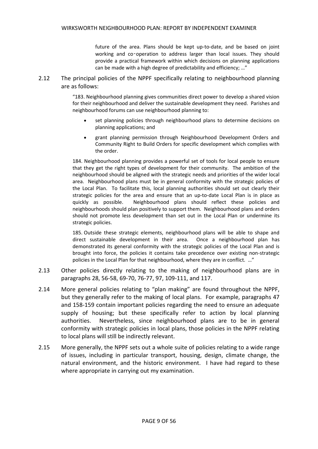future of the area. Plans should be kept up-to-date, and be based on joint working and co-operation to address larger than local issues. They should provide a practical framework within which decisions on planning applications can be made with a high degree of predictability and efficiency; …"

2.12 The principal policies of the NPPF specifically relating to neighbourhood planning are as follows:

> "183. Neighbourhood planning gives communities direct power to develop a shared vision for their neighbourhood and deliver the sustainable development they need. Parishes and neighbourhood forums can use neighbourhood planning to:

- set planning policies through neighbourhood plans to determine decisions on planning applications; and
- grant planning permission through Neighbourhood Development Orders and Community Right to Build Orders for specific development which complies with the order.

184. Neighbourhood planning provides a powerful set of tools for local people to ensure that they get the right types of development for their community. The ambition of the neighbourhood should be aligned with the strategic needs and priorities of the wider local area. Neighbourhood plans must be in general conformity with the strategic policies of the Local Plan. To facilitate this, local planning authorities should set out clearly their strategic policies for the area and ensure that an up-to-date Local Plan is in place as quickly as possible. Neighbourhood plans should reflect these policies and neighbourhoods should plan positively to support them. Neighbourhood plans and orders should not promote less development than set out in the Local Plan or undermine its strategic policies.

185. Outside these strategic elements, neighbourhood plans will be able to shape and direct sustainable development in their area. Once a neighbourhood plan has demonstrated its general conformity with the strategic policies of the Local Plan and is brought into force, the policies it contains take precedence over existing non-strategic policies in the Local Plan for that neighbourhood, where they are in conflict. …"

- 2.13 Other policies directly relating to the making of neighbourhood plans are in paragraphs 28, 56-58, 69-70, 76-77, 97, 109-111, and 117.
- 2.14 More general policies relating to "plan making" are found throughout the NPPF, but they generally refer to the making of local plans. For example, paragraphs 47 and 158-159 contain important policies regarding the need to ensure an adequate supply of housing; but these specifically refer to action by local planning authorities. Nevertheless, since neighbourhood plans are to be in general conformity with strategic policies in local plans, those policies in the NPPF relating to local plans will still be indirectly relevant.
- 2.15 More generally, the NPPF sets out a whole suite of policies relating to a wide range of issues, including in particular transport, housing, design, climate change, the natural environment, and the historic environment. I have had regard to these where appropriate in carrying out my examination.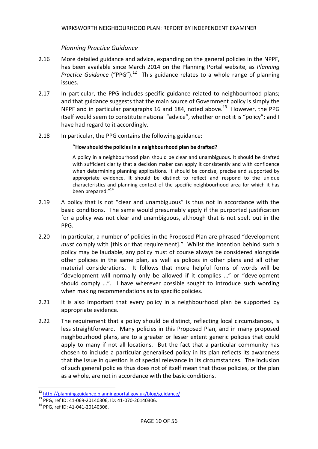# *Planning Practice Guidance*

- 2.16 More detailed guidance and advice, expanding on the general policies in the NPPF, has been available since March 2014 on the Planning Portal website, as *Planning*  Practice Guidance ("PPG").<sup>12</sup> This guidance relates to a whole range of planning issues.
- 2.17 In particular, the PPG includes specific guidance related to neighbourhood plans; and that guidance suggests that the main source of Government policy is simply the NPPF and in particular paragraphs 16 and 184, noted above. $^{13}$  However, the PPG itself would seem to constitute national "advice", whether or not it is "policy"; and I have had regard to it accordingly.
- 2.18 In particular, the PPG contains the following guidance:

#### "**How should the policies in a neighbourhood plan be drafted?**

A policy in a neighbourhood plan should be clear and unambiguous. It should be drafted with sufficient clarity that a decision maker can apply it consistently and with confidence when determining planning applications. It should be concise, precise and supported by appropriate evidence. It should be distinct to reflect and respond to the unique characteristics and planning context of the specific neighbourhood area for which it has been prepared."<sup>14</sup>

- 2.19 A policy that is not "clear and unambiguous" is thus not in accordance with the basic conditions. The same would presumably apply if the purported justification for a policy was not clear and unambiguous, although that is not spelt out in the PPG.
- 2.20 In particular, a number of policies in the Proposed Plan are phrased "development *must* comply with [this or that requirement]." Whilst the intention behind such a policy may be laudable, any policy must of course always be considered alongside other policies in the same plan, as well as polices in other plans and all other material considerations. It follows that more helpful forms of words will be "development will normally only be allowed if it complies …" or "development should comply …". I have wherever possible sought to introduce such wording when making recommendations as to specific policies.
- 2.21 It is also important that every policy in a neighbourhood plan be supported by appropriate evidence.
- 2.22 The requirement that a policy should be distinct, reflecting local circumstances, is less straightforward. Many policies in this Proposed Plan, and in many proposed neighbourhood plans, are to a greater or lesser extent generic policies that could apply to many if not all locations. But the fact that a particular community has chosen to include a particular generalised policy in its plan reflects its awareness that the issue in question is of special relevance in its circumstances. The inclusion of such general policies thus does not of itself mean that those policies, or the plan as a whole, are not in accordance with the basic conditions.

 $\overline{a}$ 

<sup>&</sup>lt;sup>12</sup> <http://planningguidance.planningportal.gov.uk/blog/guidance/>

<sup>13</sup> PPG, ref ID: 41-069-20140306, ID: 41-070-20140306.

<sup>14</sup> PPG, ref ID: 41-041-20140306.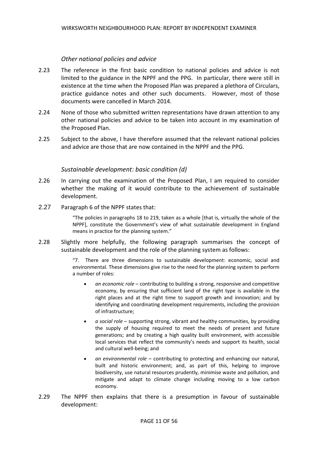#### *Other national policies and advice*

- 2.23 The reference in the first basic condition to national policies and advice is not limited to the guidance in the NPPF and the PPG. In particular, there were still in existence at the time when the Proposed Plan was prepared a plethora of Circulars, practice guidance notes and other such documents. However, most of those documents were cancelled in March 2014.
- 2.24 None of those who submitted written representations have drawn attention to any other national policies and advice to be taken into account in my examination of the Proposed Plan.
- 2.25 Subject to the above, I have therefore assumed that the relevant national policies and advice are those that are now contained in the NPPF and the PPG.

#### *Sustainable development: basic condition (d)*

- 2.26 In carrying out the examination of the Proposed Plan, I am required to consider whether the making of it would contribute to the achievement of sustainable development.
- 2.27 Paragraph 6 of the NPPF states that:

"The policies in paragraphs 18 to 219, taken as a whole [that is, virtually the whole of the NPPF], constitute the Government's view of what sustainable development in England means in practice for the planning system."

2.28 Slightly more helpfully, the following paragraph summarises the concept of sustainable development and the role of the planning system as follows:

> "7. There are three dimensions to sustainable development: economic, social and environmental. These dimensions give rise to the need for the planning system to perform a number of roles:

- *an economic role* contributing to building a strong, responsive and competitive economy, by ensuring that sufficient land of the right type is available in the right places and at the right time to support growth and innovation; and by identifying and coordinating development requirements, including the provision of infrastructure;
- *a social role* supporting strong, vibrant and healthy communities, by providing the supply of housing required to meet the needs of present and future generations; and by creating a high quality built environment, with accessible local services that reflect the community's needs and support its health, social and cultural well-being; and
- *an environmental role* contributing to protecting and enhancing our natural, built and historic environment; and, as part of this, helping to improve biodiversity, use natural resources prudently, minimise waste and pollution, and mitigate and adapt to climate change including moving to a low carbon economy.
- 2.29 The NPPF then explains that there is a presumption in favour of sustainable development: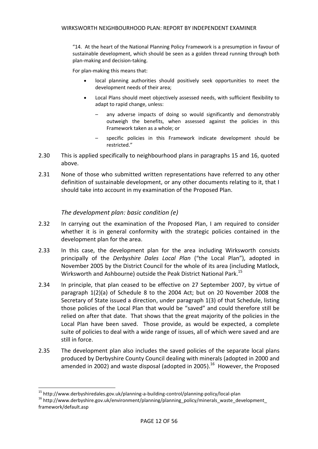"14. At the heart of the National Planning Policy Framework is a presumption in favour of sustainable development, which should be seen as a golden thread running through both plan-making and decision-taking.

For plan-making this means that:

- local planning authorities should positively seek opportunities to meet the development needs of their area;
- Local Plans should meet objectively assessed needs, with sufficient flexibility to adapt to rapid change, unless:
	- any adverse impacts of doing so would significantly and demonstrably outweigh the benefits, when assessed against the policies in this Framework taken as a whole; or
	- specific policies in this Framework indicate development should be restricted."
- 2.30 This is applied specifically to neighbourhood plans in paragraphs 15 and 16, quoted above.
- 2.31 None of those who submitted written representations have referred to any other definition of sustainable development, or any other documents relating to it, that I should take into account in my examination of the Proposed Plan.

#### *The development plan: basic condition (e)*

- 2.32 In carrying out the examination of the Proposed Plan, I am required to consider whether it is in general conformity with the strategic policies contained in the development plan for the area.
- 2.33 In this case, the development plan for the area including Wirksworth consists principally of the *Derbyshire Dales Local Plan* ("the Local Plan"), adopted in November 2005 by the District Council for the whole of its area (including Matlock, Wirksworth and Ashbourne) outside the Peak District National Park.<sup>15</sup>
- 2.34 In principle, that plan ceased to be effective on 27 September 2007, by virtue of paragraph 1(2)(a) of Schedule 8 to the 2004 Act; but on 20 November 2008 the Secretary of State issued a direction, under paragraph 1(3) of that Schedule, listing those policies of the Local Plan that would be "saved" and could therefore still be relied on after that date. That shows that the great majority of the policies in the Local Plan have been saved. Those provide, as would be expected, a complete suite of policies to deal with a wide range of issues, all of which were saved and are still in force.
- 2.35 The development plan also includes the saved policies of the separate local plans produced by Derbyshire County Council dealing with minerals (adopted in 2000 and amended in 2002) and waste disposal (adopted in 2005).<sup>16</sup> However, the Proposed

 $\overline{a}$ 

<sup>&</sup>lt;sup>15</sup> http://www.derbyshiredales.gov.uk/planning-a-building-control/planning-policy/local-plan

<sup>&</sup>lt;sup>16</sup> http://www.derbyshire.gov.uk/environment/planning/planning\_policy/minerals\_waste\_development\_ framework/default.asp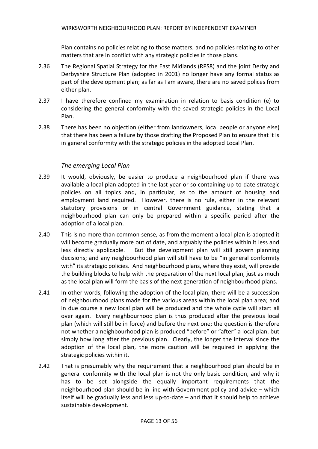Plan contains no policies relating to those matters, and no policies relating to other matters that are in conflict with any strategic policies in those plans.

- 2.36 The Regional Spatial Strategy for the East Midlands (RPS8) and the joint Derby and Derbyshire Structure Plan (adopted in 2001) no longer have any formal status as part of the development plan; as far as I am aware, there are no saved polices from either plan.
- 2.37 I have therefore confined my examination in relation to basis condition (e) to considering the general conformity with the saved strategic policies in the Local Plan.
- 2.38 There has been no objection (either from landowners, local people or anyone else) that there has been a failure by those drafting the Proposed Plan to ensure that it is in general conformity with the strategic policies in the adopted Local Plan.

# *The emerging Local Plan*

- 2.39 It would, obviously, be easier to produce a neighbourhood plan if there was available a local plan adopted in the last year or so containing up-to-date strategic policies on all topics and, in particular, as to the amount of housing and employment land required. However, there is no rule, either in the relevant statutory provisions or in central Government guidance, stating that a neighbourhood plan can only be prepared within a specific period after the adoption of a local plan.
- 2.40 This is no more than common sense, as from the moment a local plan is adopted it will become gradually more out of date, and arguably the policies within it less and less directly applicable. But the development plan will still govern planning decisions; and any neighbourhood plan will still have to be "in general conformity with" its strategic policies. And neighbourhood plans, where they exist, will provide the building blocks to help with the preparation of the next local plan, just as much as the local plan will form the basis of the next generation of neighbourhood plans.
- 2.41 In other words, following the adoption of the local plan, there will be a succession of neighbourhood plans made for the various areas within the local plan area; and in due course a new local plan will be produced and the whole cycle will start all over again. Every neighbourhood plan is thus produced after the previous local plan (which will still be in force) and before the next one; the question is therefore not whether a neighbourhood plan is produced "before" or "after" a local plan, but simply how long after the previous plan. Clearly, the longer the interval since the adoption of the local plan, the more caution will be required in applying the strategic policies within it.
- 2.42 That is presumably why the requirement that a neighbourhood plan should be in general conformity with the local plan is not the only basic condition, and why it has to be set alongside the equally important requirements that the neighbourhood plan should be in line with Government policy and advice – which itself will be gradually less and less up-to-date – and that it should help to achieve sustainable development.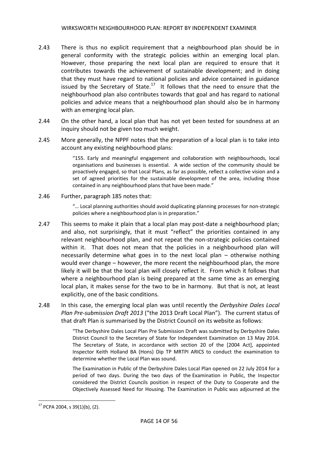- 2.43 There is thus no explicit requirement that a neighbourhood plan should be in general conformity with the strategic policies within an emerging local plan. However, those preparing the next local plan are required to ensure that it contributes towards the achievement of sustainable development; and in doing that they must have regard to national policies and advice contained in guidance issued by the Secretary of State. $17$  It follows that the need to ensure that the neighbourhood plan also contributes towards that goal and has regard to national policies and advice means that a neighbourhood plan should also be in harmony with an emerging local plan.
- 2.44 On the other hand, a local plan that has not yet been tested for soundness at an inquiry should not be given too much weight.
- 2.45 More generally, the NPPF notes that the preparation of a local plan is to take into account any existing neighbourhood plans:

"155. Early and meaningful engagement and collaboration with neighbourhoods, local organisations and businesses is essential. A wide section of the community should be proactively engaged, so that Local Plans, as far as possible, reflect a collective vision and a set of agreed priorities for the sustainable development of the area, including those contained in any neighbourhood plans that have been made."

2.46 Further, paragraph 185 notes that:

"… Local planning authorities should avoid duplicating planning processes for non-strategic policies where a neighbourhood plan is in preparation."

- 2.47 This seems to make it plain that a local plan may post-date a neighbourhood plan; and also, not surprisingly, that it must "reflect" the priorities contained in any relevant neighbourhood plan, and not repeat the non-strategic policies contained within it. That does not mean that the policies in a neighbourhood plan will necessarily determine what goes in to the next local plan – otherwise nothing would ever change – however, the more recent the neighbourhood plan, the more likely it will be that the local plan will closely reflect it. From which it follows that where a neighbourhood plan is being prepared at the same time as an emerging local plan, it makes sense for the two to be in harmony. But that is not, at least explicitly, one of the basic conditions.
- 2.48 In this case, the emerging local plan was until recently the *Derbyshire Dales Local Plan Pre-submission Draft 2013* ("the 2013 Draft Local Plan"). The current status of that draft Plan is summarised by the District Council on its website as follows:

"The Derbyshire Dales Local Plan Pre Submission Draft was submitted by Derbyshire Dales District Council to the Secretary of State for Independent Examination on 13 May 2014. The Secretary of State, in accordance with section 20 of the [2004 Act], appointed Inspector Keith Holland BA (Hons) Dip TP MRTPI ARICS to conduct the examination to determine whether the Local Plan was sound.

The Examination in Public of the Derbyshire Dales Local Plan opened on 22 July 2014 for a period of two days. During the two days of the Examination in Public, the Inspector considered the District Councils position in respect of the Duty to Cooperate and the Objectively Assessed Need for Housing. The Examination in Public was adjourned at the

 $\overline{a}$ 

 $17$  PCPA 2004, s 39(1)(b), (2).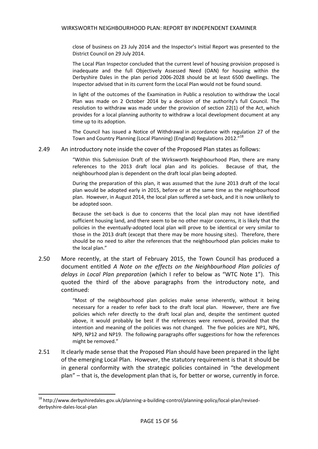close of business on 23 July 2014 and the Inspector's Initial Report was presented to the District Council on 29 July 2014.

The Local Plan Inspector concluded that the current level of housing provision proposed is inadequate and the full Objectively Assessed Need (OAN) for housing within the Derbyshire Dales in the plan period 2006-2028 should be at least 6500 dwellings. The Inspector advised that in its current form the Local Plan would not be found sound.

In light of the outcomes of the Examination in Public a resolution to withdraw the Local Plan was made on 2 October 2014 by a decision of the authority's full Council. The resolution to withdraw was made under the provision of section 22(1) of the Act, which provides for a local planning authority to withdraw a local development document at any time up to its adoption.

The Council has issued a Notice of Withdrawal in accordance with regulation 27 of the Town and Country Planning (Local Planning) (England) Regulations 2012."<sup>18</sup>

2.49 An introductory note inside the cover of the Proposed Plan states as follows:

"Within this Submission Draft of the Wirksworth Neighbourhood Plan, there are many references to the 2013 draft local plan and its policies. Because of that, the neighbourhood plan is dependent on the draft local plan being adopted.

During the preparation of this plan, it was assumed that the June 2013 draft of the local plan would be adopted early in 2015, before or at the same time as the neighbourhood plan. However, in August 2014, the local plan suffered a set-back, and it is now unlikely to be adopted soon.

Because the set-back is due to concerns that the local plan may not have identified sufficient housing land, and there seem to be no other major concerns, it is likely that the policies in the eventually-adopted local plan will prove to be identical or very similar to those in the 2013 draft (except that there may be more housing sites). Therefore, there should be no need to alter the references that the neighbourhood plan policies make to the local plan."

2.50 More recently, at the start of February 2015, the Town Council has produced a document entitled *A Note on the effects on the Neighbourhood Plan policies of delays in Local Plan preparation* (which I refer to below as "WTC Note 1"). This quoted the third of the above paragraphs from the introductory note, and continued:

> "Most of the neighbourhood plan policies make sense inherently, without it being necessary for a reader to refer back to the draft local plan. However, there are five policies which refer directly to the draft local plan and, despite the sentiment quoted above, it would probably be best if the references were removed, provided that the intention and meaning of the policies was not changed. The five policies are NP1, NP6, NP9, NP12 and NP19. The following paragraphs offer suggestions for how the references might be removed."

2.51 It clearly made sense that the Proposed Plan should have been prepared in the light of the emerging Local Plan. However, the statutory requirement is that it should be in general conformity with the strategic policies contained in "the development plan" – that is, the development plan that is, for better or worse, currently in force.

**.** 

<sup>&</sup>lt;sup>18</sup> http://www.derbyshiredales.gov.uk/planning-a-building-control/planning-policy/local-plan/revisedderbyshire-dales-local-plan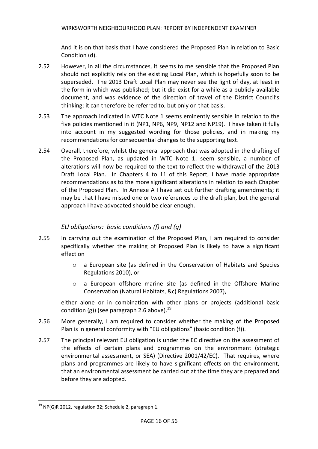And it is on that basis that I have considered the Proposed Plan in relation to Basic Condition (d).

- 2.52 However, in all the circumstances, it seems to me sensible that the Proposed Plan should not explicitly rely on the existing Local Plan, which is hopefully soon to be superseded. The 2013 Draft Local Plan may never see the light of day, at least in the form in which was published; but it did exist for a while as a publicly available document, and was evidence of the direction of travel of the District Council's thinking; it can therefore be referred to, but only on that basis.
- 2.53 The approach indicated in WTC Note 1 seems eminently sensible in relation to the five policies mentioned in it (NP1, NP6, NP9, NP12 and NP19). I have taken it fully into account in my suggested wording for those policies, and in making my recommendations for consequential changes to the supporting text.
- 2.54 Overall, therefore, whilst the general approach that was adopted in the drafting of the Proposed Plan, as updated in WTC Note 1, seem sensible, a number of alterations will now be required to the text to reflect the withdrawal of the 2013 Draft Local Plan. In Chapters 4 to 11 of this Report, I have made appropriate recommendations as to the more significant alterations in relation to each Chapter of the Proposed Plan. In Annexe A I have set out further drafting amendments; it may be that I have missed one or two references to the draft plan, but the general approach I have advocated should be clear enough.

# *EU obligations: basic conditions (f) and (g)*

- 2.55 In carrying out the examination of the Proposed Plan, I am required to consider specifically whether the making of Proposed Plan is likely to have a significant effect on
	- o a European site (as defined in the Conservation of Habitats and Species Regulations 2010), or
	- o a European offshore marine site (as defined in the Offshore Marine Conservation (Natural Habitats, &c) Regulations 2007),

either alone or in combination with other plans or projects (additional basic condition (g)) (see paragraph 2.6 above).<sup>19</sup>

- 2.56 More generally, I am required to consider whether the making of the Proposed Plan is in general conformity with "EU obligations" (basic condition (f)).
- 2.57 The principal relevant EU obligation is under the EC directive on the assessment of the effects of certain plans and programmes on the environment (strategic environmental assessment, or SEA) (Directive 2001/42/EC). That requires, where plans and programmes are likely to have significant effects on the environment, that an environmental assessment be carried out at the time they are prepared and before they are adopted.

 $\overline{a}$  $19$  NP(G)R 2012, regulation 32; Schedule 2, paragraph 1.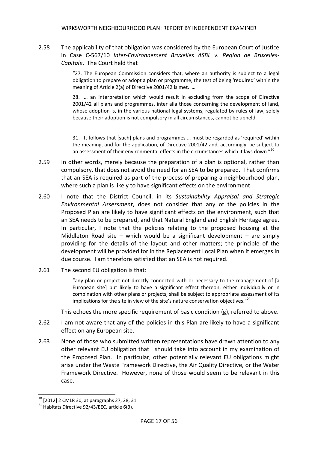2.58 The applicability of that obligation was considered by the European Court of Justice in Case C-567/10 *Inter-Environnement Bruxelles ASBL v. Region de Bruxelles-Capitale*. The Court held that

> "27. The European Commission considers that, where an authority is subject to a legal obligation to prepare or adopt a plan or programme, the test of being 'required' within the meaning of Article 2(a) of Directive 2001/42 is met. …

> 28. … an interpretation which would result in excluding from the scope of Directive 2001/42 all plans and programmes, inter alia those concerning the development of land, whose adoption is, in the various national legal systems, regulated by rules of law, solely because their adoption is not compulsory in all circumstances, cannot be upheld.

> 31. It follows that [such] plans and programmes ... must be regarded as 'required' within the meaning, and for the application, of Directive 2001/42 and, accordingly, be subject to an assessment of their environmental effects in the circumstances which it lays down."<sup>20</sup>

- 2.59 In other words, merely because the preparation of a plan is optional, rather than compulsory, that does not avoid the need for an SEA to be prepared. That confirms that an SEA is required as part of the process of preparing a neighbourhood plan, where such a plan is likely to have significant effects on the environment.
- 2.60 I note that the District Council, in its *Sustainability Appraisal and Strategic Environmental Assessment*, does not consider that any of the policies in the Proposed Plan are likely to have significant effects on the environment, such that an SEA needs to be prepared, and that Natural England and English Heritage agree. In particular, I note that the policies relating to the proposed housing at the Middleton Road site – which would be a significant development – are simply providing for the details of the layout and other matters; the principle of the development will be provided for in the Replacement Local Plan when it emerges in due course. I am therefore satisfied that an SEA is not required.
- 2.61 The second EU obligation is that:

…

"any plan or project not directly connected with or necessary to the management of [a European site] but likely to have a significant effect thereon, either individually or in combination with other plans or projects, shall be subject to appropriate assessment of its implications for the site in view of the site's nature conservation objectives." $^{21}$ 

This echoes the more specific requirement of basic condition (g), referred to above.

- 2.62 I am not aware that any of the policies in this Plan are likely to have a significant effect on any European site.
- 2.63 None of those who submitted written representations have drawn attention to any other relevant EU obligation that I should take into account in my examination of the Proposed Plan. In particular, other potentially relevant EU obligations might arise under the Waste Framework Directive, the Air Quality Directive, or the Water Framework Directive. However, none of those would seem to be relevant in this case.

**.** 

 $20$  [2012] 2 CMLR 30, at paragraphs 27, 28, 31.

 $^{21}$  Habitats Directive 92/43/EEC, article 6(3).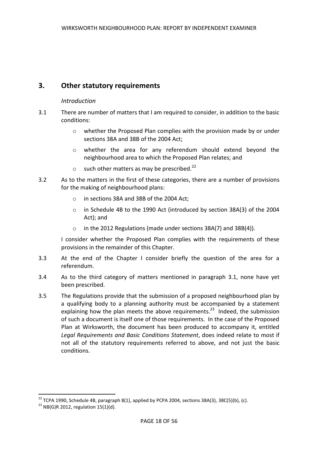# **3. Other statutory requirements**

#### *Introduction*

- 3.1 There are number of matters that I am required to consider, in addition to the basic conditions:
	- o whether the Proposed Plan complies with the provision made by or under sections 38A and 38B of the 2004 Act;
	- o whether the area for any referendum should extend beyond the neighbourhood area to which the Proposed Plan relates; and
	- $\circ$  such other matters as may be prescribed.<sup>22</sup>
- 3.2 As to the matters in the first of these categories, there are a number of provisions for the making of neighbourhood plans:
	- o in sections 38A and 38B of the 2004 Act;
	- o in Schedule 4B to the 1990 Act (introduced by section 38A(3) of the 2004 Act); and
	- o in the 2012 Regulations (made under sections 38A(7) and 38B(4)).

I consider whether the Proposed Plan complies with the requirements of these provisions in the remainder of this Chapter.

- 3.3 At the end of the Chapter I consider briefly the question of the area for a referendum.
- 3.4 As to the third category of matters mentioned in paragraph 3.1, none have yet been prescribed.
- 3.5 The Regulations provide that the submission of a proposed neighbourhood plan by a qualifying body to a planning authority must be accompanied by a statement explaining how the plan meets the above requirements.<sup>23</sup> Indeed, the submission of such a document is itself one of those requirements. In the case of the Proposed Plan at Wirksworth, the document has been produced to accompany it, entitled *Legal Requirements and Basic Conditions Statement*, does indeed relate to most if not all of the statutory requirements referred to above, and not just the basic conditions.

**.** 

<sup>&</sup>lt;sup>22</sup> TCPA 1990, Schedule 4B, paragraph 8(1), applied by PCPA 2004, sections 38A(3), 38C(5)(b), (c).

 $^{23}$  NB(G)R 2012, regulation 15(1)(d).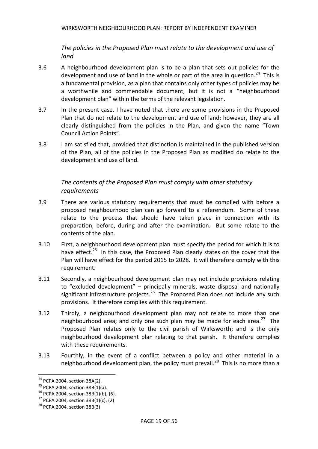*The policies in the Proposed Plan must relate to the development and use of land*

- 3.6 A neighbourhood development plan is to be a plan that sets out policies for the development and use of land in the whole or part of the area in question.<sup>24</sup> This is a fundamental provision, as a plan that contains only other types of policies may be a worthwhile and commendable document, but it is not a "neighbourhood development plan" within the terms of the relevant legislation.
- 3.7 In the present case, I have noted that there are some provisions in the Proposed Plan that do not relate to the development and use of land; however, they are all clearly distinguished from the policies in the Plan, and given the name "Town Council Action Points".
- 3.8 I am satisfied that, provided that distinction is maintained in the published version of the Plan, all of the policies in the Proposed Plan as modified do relate to the development and use of land.

# *The contents of the Proposed Plan must comply with other statutory requirements*

- 3.9 There are various statutory requirements that must be complied with before a proposed neighbourhood plan can go forward to a referendum. Some of these relate to the process that should have taken place in connection with its preparation, before, during and after the examination. But some relate to the contents of the plan.
- 3.10 First, a neighbourhood development plan must specify the period for which it is to have effect.<sup>25</sup> In this case, the Proposed Plan clearly states on the cover that the Plan will have effect for the period 2015 to 2028. It will therefore comply with this requirement.
- 3.11 Secondly, a neighbourhood development plan may not include provisions relating to "excluded development" – principally minerals, waste disposal and nationally significant infrastructure projects.<sup>26</sup> The Proposed Plan does not include any such provisions. It therefore complies with this requirement.
- 3.12 Thirdly, a neighbourhood development plan may not relate to more than one neighbourhood area; and only one such plan may be made for each area.<sup>27</sup> The Proposed Plan relates only to the civil parish of Wirksworth; and is the only neighbourhood development plan relating to that parish. It therefore complies with these requirements.
- 3.13 Fourthly, in the event of a conflict between a policy and other material in a neighbourhood development plan, the policy must prevail.<sup>28</sup> This is no more than a

1

<sup>&</sup>lt;sup>24</sup> PCPA 2004, section 38A(2).

<sup>&</sup>lt;sup>25</sup> PCPA 2004, section  $38B(1)(a)$ .

 $26$  PCPA 2004, section 38B(1)(b), (6).

 $27$  PCPA 2004, section 38B(1)(c), (2)

<sup>28</sup> PCPA 2004, section 38B(3)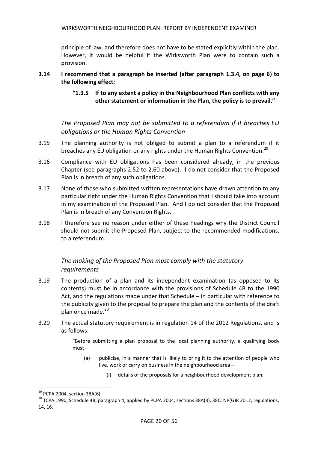principle of law, and therefore does not have to be stated explicitly within the plan. However, it would be helpful if the Wirksworth Plan were to contain such a provision.

#### **3.14 I recommend that a paragraph be inserted (after paragraph 1.3.4, on page 6) to the following effect:**

# **"1.3.5 If to any extent a policy in the Neighbourhood Plan conflicts with any other statement or information in the Plan, the policy is to prevail."**

*The Proposed Plan may not be submitted to a referendum if it breaches EU obligations or the Human Rights Convention*

- 3.15 The planning authority is not obliged to submit a plan to a referendum if it breaches any EU obligation or any rights under the Human Rights Convention.<sup>29</sup>
- 3.16 Compliance with EU obligations has been considered already, in the previous Chapter (see paragraphs 2.52 to 2.60 above). I do not consider that the Proposed Plan is in breach of any such obligations.
- 3.17 None of those who submitted written representations have drawn attention to any particular right under the Human Rights Convention that I should take into account in my examination of the Proposed Plan. And I do not consider that the Proposed Plan is in breach of any Convention Rights.
- 3.18 I therefore see no reason under either of these headings why the District Council should not submit the Proposed Plan, subject to the recommended modifications, to a referendum.

# *The making of the Proposed Plan must comply with the statutory requirements*

- 3.19 The production of a plan and its independent examination (as opposed to its contents) must be in accordance with the provisions of Schedule 4B to the 1990 Act, and the regulations made under that Schedule – in particular with reference to the publicity given to the proposal to prepare the plan and the contents of the draft plan once made.<sup>30</sup>
- 3.20 The actual statutory requirement is in regulation 14 of the 2012 Regulations, and is as follows:

"Before submitting a plan proposal to the local planning authority, a qualifying body must—

- (a) publicise, in a manner that is likely to bring it to the attention of people who live, work or carry on business in the neighbourhood area—
	- (i) details of the proposals for a neighbourhood development plan;

 $\overline{\phantom{a}}$ 

 $^{29}$  PCPA 2004, section 38A(6).

<sup>&</sup>lt;sup>30</sup> TCPA 1990, Schedule 4B, paragraph 4, applied by PCPA 2004, sections 38A(3), 38C; NP(G)R 2012, regulations, 14, 16.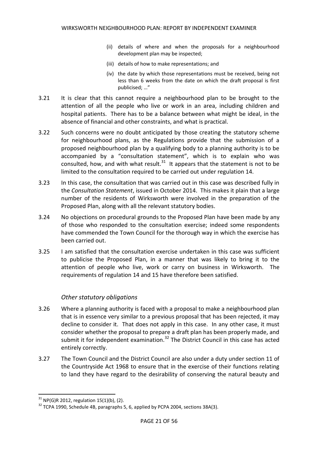- (ii) details of where and when the proposals for a neighbourhood development plan may be inspected;
- (iii) details of how to make representations; and
- (iv) the date by which those representations must be received, being not less than 6 weeks from the date on which the draft proposal is first publicised; …"
- 3.21 It is clear that this cannot require a neighbourhood plan to be brought to the attention of all the people who live or work in an area, including children and hospital patients. There has to be a balance between what might be ideal, in the absence of financial and other constraints, and what is practical.
- 3.22 Such concerns were no doubt anticipated by those creating the statutory scheme for neighbourhood plans, as the Regulations provide that the submission of a proposed neighbourhood plan by a qualifying body to a planning authority is to be accompanied by a "consultation statement", which is to explain who was consulted, how, and with what result. $31$  It appears that the statement is not to be limited to the consultation required to be carried out under regulation 14.
- 3.23 In this case, the consultation that was carried out in this case was described fully in the *Consultation Statement*, issued in October 2014. This makes it plain that a large number of the residents of Wirksworth were involved in the preparation of the Proposed Plan, along with all the relevant statutory bodies.
- 3.24 No objections on procedural grounds to the Proposed Plan have been made by any of those who responded to the consultation exercise; indeed some respondents have commended the Town Council for the thorough way in which the exercise has been carried out.
- 3.25 I am satisfied that the consultation exercise undertaken in this case was sufficient to publicise the Proposed Plan, in a manner that was likely to bring it to the attention of people who live, work or carry on business in Wirksworth. The requirements of regulation 14 and 15 have therefore been satisfied.

#### *Other statutory obligations*

- 3.26 Where a planning authority is faced with a proposal to make a neighbourhood plan that is in essence very similar to a previous proposal that has been rejected, it may decline to consider it. That does not apply in this case. In any other case, it must consider whether the proposal to prepare a draft plan has been properly made, and submit it for independent examination. $32$  The District Council in this case has acted entirely correctly.
- 3.27 The Town Council and the District Council are also under a duty under section 11 of the Countryside Act 1968 to ensure that in the exercise of their functions relating to land they have regard to the desirability of conserving the natural beauty and

**.** 

 $31$  NP(G)R 2012, regulation 15(1)(b), (2).

<sup>&</sup>lt;sup>32</sup> TCPA 1990, Schedule 4B, paragraphs 5, 6, applied by PCPA 2004, sections 38A(3).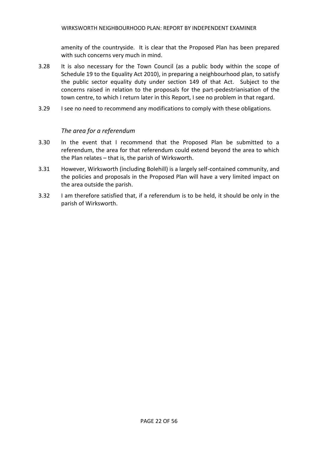amenity of the countryside. It is clear that the Proposed Plan has been prepared with such concerns very much in mind.

- 3.28 It is also necessary for the Town Council (as a public body within the scope of Schedule 19 to the Equality Act 2010), in preparing a neighbourhood plan, to satisfy the public sector equality duty under section 149 of that Act. Subject to the concerns raised in relation to the proposals for the part-pedestrianisation of the town centre, to which I return later in this Report, I see no problem in that regard.
- 3.29 I see no need to recommend any modifications to comply with these obligations.

#### *The area for a referendum*

- 3.30 In the event that I recommend that the Proposed Plan be submitted to a referendum, the area for that referendum could extend beyond the area to which the Plan relates – that is, the parish of Wirksworth.
- 3.31 However, Wirksworth (including Bolehill) is a largely self-contained community, and the policies and proposals in the Proposed Plan will have a very limited impact on the area outside the parish.
- 3.32 I am therefore satisfied that, if a referendum is to be held, it should be only in the parish of Wirksworth.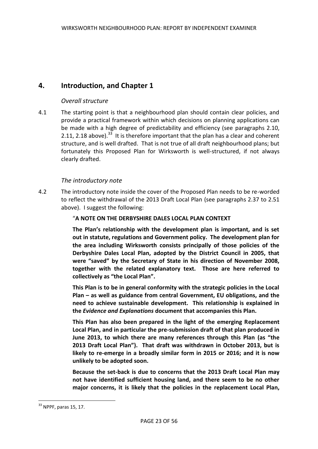# **4. Introduction, and Chapter 1**

# *Overall structure*

4.1 The starting point is that a neighbourhood plan should contain clear policies, and provide a practical framework within which decisions on planning applications can be made with a high degree of predictability and efficiency (see paragraphs 2.10, 2.11, 2.18 above). $^{33}$  It is therefore important that the plan has a clear and coherent structure, and is well drafted. That is not true of all draft neighbourhood plans; but fortunately this Proposed Plan for Wirksworth is well-structured, if not always clearly drafted.

# *The introductory note*

4.2 The introductory note inside the cover of the Proposed Plan needs to be re-worded to reflect the withdrawal of the 2013 Draft Local Plan (see paragraphs 2.37 to 2.51 above). I suggest the following:

# "**A NOTE ON THE DERBYSHIRE DALES LOCAL PLAN CONTEXT**

**The Plan's relationship with the development plan is important, and is set out in statute, regulations and Government policy. The development plan for the area including Wirksworth consists principally of those policies of the Derbyshire Dales Local Plan, adopted by the District Council in 2005, that were "saved" by the Secretary of State in his direction of November 2008, together with the related explanatory text. Those are here referred to collectively as "the Local Plan".**

**This Plan is to be in general conformity with the strategic policies in the Local Plan – as well as guidance from central Government, EU obligations, and the need to achieve sustainable development. This relationship is explained in the** *Evidence and Explanations* **document that accompanies this Plan.**

**This Plan has also been prepared in the light of the emerging Replacement Local Plan, and in particular the pre-submission draft of that plan produced in June 2013, to which there are many references through this Plan (as "the 2013 Draft Local Plan"). That draft was withdrawn in October 2013, but is likely to re-emerge in a broadly similar form in 2015 or 2016; and it is now unlikely to be adopted soon.**

**Because the set-back is due to concerns that the 2013 Draft Local Plan may not have identified sufficient housing land, and there seem to be no other major concerns, it is likely that the policies in the replacement Local Plan,** 

 $\overline{\phantom{a}}$ 

 $33$  NPPF, paras 15, 17.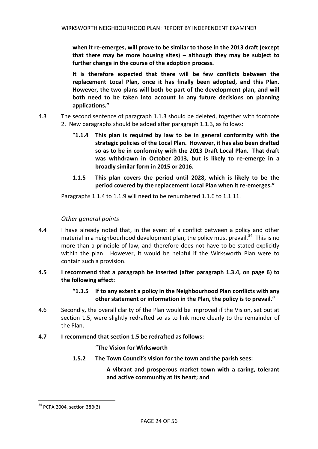**when it re-emerges, will prove to be similar to those in the 2013 draft (except that there may be more housing sites) – although they may be subject to further change in the course of the adoption process.**

**It is therefore expected that there will be few conflicts between the replacement Local Plan, once it has finally been adopted, and this Plan. However, the two plans will both be part of the development plan, and will both need to be taken into account in any future decisions on planning applications."** 

- 4.3 The second sentence of paragraph 1.1.3 should be deleted, together with footnote 2. New paragraphs should be added after paragraph 1.1.3, as follows:
	- "**1.1.4 This plan is required by law to be in general conformity with the strategic policies of the Local Plan. However, it has also been drafted so as to be in conformity with the 2013 Draft Local Plan. That draft was withdrawn in October 2013, but is likely to re-emerge in a broadly similar form in 2015 or 2016.**
	- **1.1.5 This plan covers the period until 2028, which is likely to be the period covered by the replacement Local Plan when it re-emerges."**

Paragraphs 1.1.4 to 1.1.9 will need to be renumbered 1.1.6 to 1.1.11.

# *Other general points*

- 4.4 I have already noted that, in the event of a conflict between a policy and other material in a neighbourhood development plan, the policy must prevail.<sup>34</sup> This is no more than a principle of law, and therefore does not have to be stated explicitly within the plan. However, it would be helpful if the Wirksworth Plan were to contain such a provision.
- **4.5 I recommend that a paragraph be inserted (after paragraph 1.3.4, on page 6) to the following effect:** 
	- **"1.3.5 If to any extent a policy in the Neighbourhood Plan conflicts with any other statement or information in the Plan, the policy is to prevail."**
- 4.6 Secondly, the overall clarity of the Plan would be improved if the Vision, set out at section 1.5, were slightly redrafted so as to link more clearly to the remainder of the Plan.

#### **4.7 I recommend that section 1.5 be redrafted as follows:**

#### "**The Vision for Wirksworth**

- **1.5.2 The Town Council's vision for the town and the parish sees:**
	- **A vibrant and prosperous market town with a caring, tolerant and active community at its heart; and**

 $\overline{\phantom{a}}$ 

<sup>&</sup>lt;sup>34</sup> PCPA 2004, section 38B(3)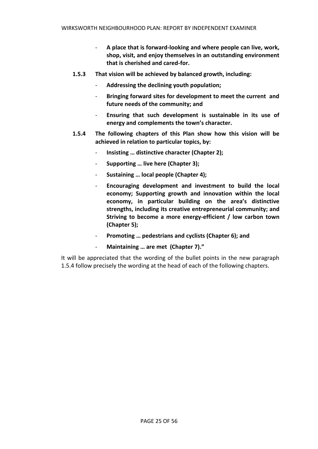- **A place that is forward-looking and where people can live, work, shop, visit, and enjoy themselves in an outstanding environment that is cherished and cared-for.**
- **1.5.3 That vision will be achieved by balanced growth, including:**
	- **Addressing the declining youth population;**
	- **Bringing forward sites for development to meet the current and future needs of the community; and**
	- **Ensuring that such development is sustainable in its use of energy and complements the town's character.**
- **1.5.4 The following chapters of this Plan show how this vision will be achieved in relation to particular topics, by:**
	- **Insisting … distinctive character (Chapter 2);**
	- **Supporting … live here (Chapter 3);**
	- **Sustaining … local people (Chapter 4);**
	- **Encouraging development and investment to build the local economy; Supporting growth and innovation within the local economy, in particular building on the area's distinctive strengths, including its creative entrepreneurial community; and Striving to become a more energy-efficient / low carbon town (Chapter 5);**
	- Promoting ... pedestrians and cyclists (Chapter 6); and
	- **Maintaining … are met (Chapter 7)."**

It will be appreciated that the wording of the bullet points in the new paragraph 1.5.4 follow precisely the wording at the head of each of the following chapters.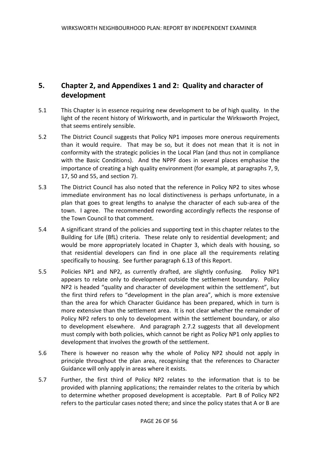# **5. Chapter 2, and Appendixes 1 and 2: Quality and character of development**

- 5.1 This Chapter is in essence requiring new development to be of high quality. In the light of the recent history of Wirksworth, and in particular the Wirksworth Project, that seems entirely sensible.
- 5.2 The District Council suggests that Policy NP1 imposes more onerous requirements than it would require. That may be so, but it does not mean that it is not in conformity with the strategic policies in the Local Plan (and thus not in compliance with the Basic Conditions). And the NPPF does in several places emphasise the importance of creating a high quality environment (for example, at paragraphs 7, 9, 17, 50 and 55, and section 7).
- 5.3 The District Council has also noted that the reference in Policy NP2 to sites whose immediate environment has no local distinctiveness is perhaps unfortunate, in a plan that goes to great lengths to analyse the character of each sub-area of the town. I agree. The recommended rewording accordingly reflects the response of the Town Council to that comment.
- 5.4 A significant strand of the policies and supporting text in this chapter relates to the Building for Life (BfL) criteria. These relate only to residential development; and would be more appropriately located in Chapter 3, which deals with housing, so that residential developers can find in one place all the requirements relating specifically to housing. See further paragraph 6.13 of this Report.
- 5.5 Policies NP1 and NP2, as currently drafted, are slightly confusing. Policy NP1 appears to relate only to development outside the settlement boundary. Policy NP2 is headed "quality and character of development within the settlement", but the first third refers to "development in the plan area", which is more extensive than the area for which Character Guidance has been prepared, which in turn is more extensive than the settlement area. It is not clear whether the remainder of Policy NP2 refers to only to development within the settlement boundary, or also to development elsewhere. And paragraph 2.7.2 suggests that all development must comply with both policies, which cannot be right as Policy NP1 only applies to development that involves the growth of the settlement.
- 5.6 There is however no reason why the whole of Policy NP2 should not apply in principle throughout the plan area, recognising that the references to Character Guidance will only apply in areas where it exists.
- 5.7 Further, the first third of Policy NP2 relates to the information that is to be provided with planning applications; the remainder relates to the criteria by which to determine whether proposed development is acceptable. Part B of Policy NP2 refers to the particular cases noted there; and since the policy states that A or B are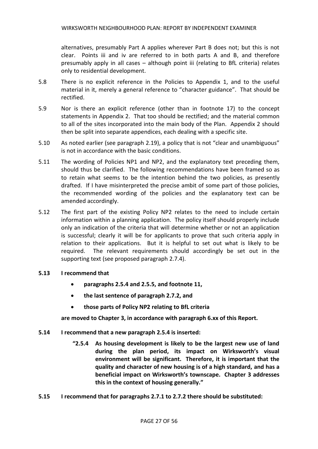alternatives, presumably Part A applies wherever Part B does not; but this is not clear. Points iii and iv are referred to in both parts A and B, and therefore presumably apply in all cases – although point iii (relating to BfL criteria) relates only to residential development.

- 5.8 There is no explicit reference in the Policies to Appendix 1, and to the useful material in it, merely a general reference to "character guidance". That should be rectified.
- 5.9 Nor is there an explicit reference (other than in footnote 17) to the concept statements in Appendix 2. That too should be rectified; and the material common to all of the sites incorporated into the main body of the Plan. Appendix 2 should then be split into separate appendices, each dealing with a specific site.
- 5.10 As noted earlier (see paragraph 2.19), a policy that is not "clear and unambiguous" is not in accordance with the basic conditions.
- 5.11 The wording of Policies NP1 and NP2, and the explanatory text preceding them, should thus be clarified. The following recommendations have been framed so as to retain what seems to be the intention behind the two policies, as presently drafted. If I have misinterpreted the precise ambit of some part of those policies, the recommended wording of the policies and the explanatory text can be amended accordingly.
- 5.12 The first part of the existing Policy NP2 relates to the need to include certain information within a planning application. The policy itself should properly include only an indication of the criteria that will determine whether or not an application is successful; clearly it will be for applicants to prove that such criteria apply in relation to their applications. But it is helpful to set out what is likely to be required. The relevant requirements should accordingly be set out in the supporting text (see proposed paragraph 2.7.4).

#### **5.13 I recommend that**

- **paragraphs 2.5.4 and 2.5.5, and footnote 11,**
- **the last sentence of paragraph 2.7.2, and**
- **those parts of Policy NP2 relating to BfL criteria**

**are moved to Chapter 3, in accordance with paragraph 6.xx of this Report.**

- **5.14 I recommend that a new paragraph 2.5.4 is inserted:**
	- **"2.5.4 As housing development is likely to be the largest new use of land during the plan period, its impact on Wirksworth's visual environment will be significant. Therefore, it is important that the quality and character of new housing is of a high standard, and has a beneficial impact on Wirksworth's townscape. Chapter 3 addresses this in the context of housing generally."**
- **5.15 I recommend that for paragraphs 2.7.1 to 2.7.2 there should be substituted:**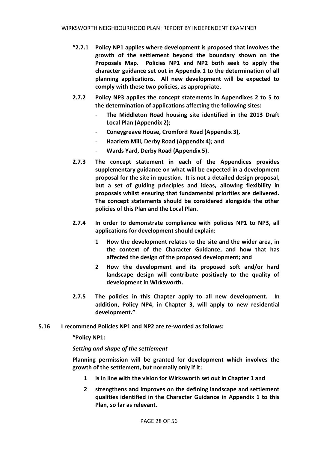- **"2.7.1 Policy NP1 applies where development is proposed that involves the growth of the settlement beyond the boundary shown on the Proposals Map. Policies NP1 and NP2 both seek to apply the character guidance set out in Appendix 1 to the determination of all planning applications. All new development will be expected to comply with these two policies, as appropriate.**
- **2.7.2 Policy NP3 applies the concept statements in Appendixes 2 to 5 to the determination of applications affecting the following sites:**
	- **The Middleton Road housing site identified in the 2013 Draft Local Plan (Appendix 2);**
	- **Coneygreave House, Cromford Road (Appendix 3),**
	- **Haarlem Mill, Derby Road (Appendix 4); and**
	- **Wards Yard, Derby Road (Appendix 5).**
- **2.7.3 The concept statement in each of the Appendices provides supplementary guidance on what will be expected in a development proposal for the site in question. It is not a detailed design proposal, but a set of guiding principles and ideas, allowing flexibility in proposals whilst ensuring that fundamental priorities are delivered. The concept statements should be considered alongside the other policies of this Plan and the Local Plan.**
- **2.7.4 In order to demonstrate compliance with policies NP1 to NP3, all applications for development should explain:**
	- **1 How the development relates to the site and the wider area, in the context of the Character Guidance, and how that has affected the design of the proposed development; and**
	- **2 How the development and its proposed soft and/or hard landscape design will contribute positively to the quality of development in Wirksworth.**
- **2.7.5 The policies in this Chapter apply to all new development. In addition, Policy NP4, in Chapter 3, will apply to new residential development."**
- **5.16 I recommend Policies NP1 and NP2 are re-worded as follows:**

**"Policy NP1:** 

#### *Setting and shape of the settlement*

**Planning permission will be granted for development which involves the growth of the settlement, but normally only if it:**

- **1 is in line with the vision for Wirksworth set out in Chapter 1 and**
- **2 strengthens and improves on the defining landscape and settlement qualities identified in the Character Guidance in Appendix 1 to this Plan, so far as relevant.**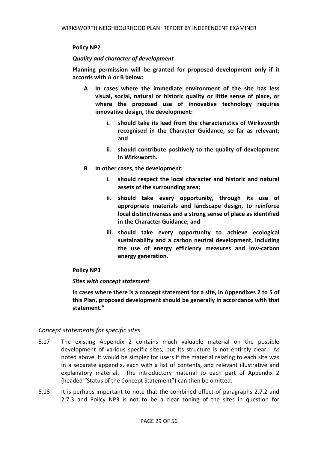#### **Policy NP2**

#### *Quality and character of development*

**Planning permission will be granted for proposed development only if it accords with A or B below:**

- **A In cases where the immediate environment of the site has less visual, social, natural or historic quality or little sense of place, or where the proposed use of innovative technology requires innovative design, the development:**
	- **i. should take its lead from the characteristics of Wirksworth recognised in the Character Guidance, so far as relevant; and**
	- **ii. should contribute positively to the quality of development in Wirksworth.**
- **B In other cases, the development:**
	- **i. should respect the local character and historic and natural assets of the surrounding area;**
	- **ii. should take every opportunity, through its use of appropriate materials and landscape design, to reinforce local distinctiveness and a strong sense of place as identified in the Character Guidance; and**
	- **iii. should take every opportunity to achieve ecological sustainability and a carbon neutral development, including the use of energy efficiency measures and low-carbon energy generation.**

# **Policy NP3**

#### *Sites with concept statement*

**In cases where there is a concept statement for a site, in Appendixes 2 to 5 of this Plan, proposed development should be generally in accordance with that statement."**

# *Concept statements for specific sites*

- 5.17 The existing Appendix 2 contains much valuable material on the possible development of various specific sites; but its structure is not entirely clear. As noted above, it would be simpler for users if the material relating to each site was in a separate appendix, each with a list of contents, and relevant illustrative and explanatory material. The introductory material to each part of Appendix 2 (headed "Status of the Concept Statement") can then be omitted.
- 5.18 It is perhaps important to note that the combined effect of paragraphs 2.7.2 and 2.7.3 and Policy NP3 is not to be a clear zoning of the sites in question for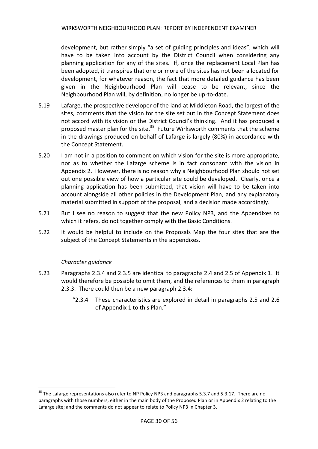development, but rather simply "a set of guiding principles and ideas", which will have to be taken into account by the District Council when considering any planning application for any of the sites. If, once the replacement Local Plan has been adopted, it transpires that one or more of the sites has not been allocated for development, for whatever reason, the fact that more detailed guidance has been given in the Neighbourhood Plan will cease to be relevant, since the Neighbourhood Plan will, by definition, no longer be up-to-date.

- 5.19 Lafarge, the prospective developer of the land at Middleton Road, the largest of the sites, comments that the vision for the site set out in the Concept Statement does not accord with its vision or the District Council's thinking. And it has produced a proposed master plan for the site.<sup>35</sup> Future Wirksworth comments that the scheme in the drawings produced on behalf of Lafarge is largely (80%) in accordance with the Concept Statement.
- 5.20 I am not in a position to comment on which vision for the site is more appropriate, nor as to whether the Lafarge scheme is in fact consonant with the vision in Appendix 2. However, there is no reason why a Neighbourhood Plan should not set out one possible view of how a particular site could be developed. Clearly, once a planning application has been submitted, that vision will have to be taken into account alongside all other policies in the Development Plan, and any explanatory material submitted in support of the proposal, and a decision made accordingly.
- 5.21 But I see no reason to suggest that the new Policy NP3, and the Appendixes to which it refers, do not together comply with the Basic Conditions.
- 5.22 It would be helpful to include on the Proposals Map the four sites that are the subject of the Concept Statements in the appendixes.

# *Character guidance*

 $\overline{\phantom{a}}$ 

- 5.23 Paragraphs 2.3.4 and 2.3.5 are identical to paragraphs 2.4 and 2.5 of Appendix 1. It would therefore be possible to omit them, and the references to them in paragraph 2.3.3. There could then be a new paragraph 2.3.4:
	- "2.3.4 These characteristics are explored in detail in paragraphs 2.5 and 2.6 of Appendix 1 to this Plan."

<sup>&</sup>lt;sup>35</sup> The Lafarge representations also refer to NP Policy NP3 and paragraphs 5.3.7 and 5.3.17. There are no paragraphs with those numbers, either in the main body of the Proposed Plan or in Appendix 2 relating to the Lafarge site; and the comments do not appear to relate to Policy NP3 in Chapter 3.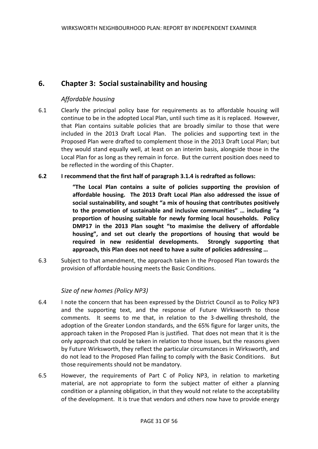# **6. Chapter 3: Social sustainability and housing**

# *Affordable housing*

6.1 Clearly the principal policy base for requirements as to affordable housing will continue to be in the adopted Local Plan, until such time as it is replaced. However, that Plan contains suitable policies that are broadly similar to those that were included in the 2013 Draft Local Plan. The policies and supporting text in the Proposed Plan were drafted to complement those in the 2013 Draft Local Plan; but they would stand equally well, at least on an interim basis, alongside those in the Local Plan for as long as they remain in force. But the current position does need to be reflected in the wording of this Chapter.

#### **6.2 I recommend that the first half of paragraph 3.1.4 is redrafted as follows:**

**"The Local Plan contains a suite of policies supporting the provision of affordable housing. The 2013 Draft Local Plan also addressed the issue of social sustainability, and sought "a mix of housing that contributes positively to the promotion of sustainable and inclusive communities" … including "a proportion of housing suitable for newly forming local households. Policy DMP17 in the 2013 Plan sought "to maximise the delivery of affordable housing", and set out clearly the proportions of housing that would be required in new residential developments. Strongly supporting that approach, this Plan does not need to have a suite of policies addressing …** 

6.3 Subject to that amendment, the approach taken in the Proposed Plan towards the provision of affordable housing meets the Basic Conditions.

# *Size of new homes (Policy NP3)*

- 6.4 I note the concern that has been expressed by the District Council as to Policy NP3 and the supporting text, and the response of Future Wirksworth to those comments. It seems to me that, in relation to the 3-dwelling threshold, the adoption of the Greater London standards, and the 65% figure for larger units, the approach taken in the Proposed Plan is justified. That does not mean that it is the only approach that could be taken in relation to those issues, but the reasons given by Future Wirksworth, they reflect the particular circumstances in Wirksworth, and do not lead to the Proposed Plan failing to comply with the Basic Conditions. But those requirements should not be mandatory.
- 6.5 However, the requirements of Part C of Policy NP3, in relation to marketing material, are not appropriate to form the subject matter of either a planning condition or a planning obligation, in that they would not relate to the acceptability of the development. It is true that vendors and others now have to provide energy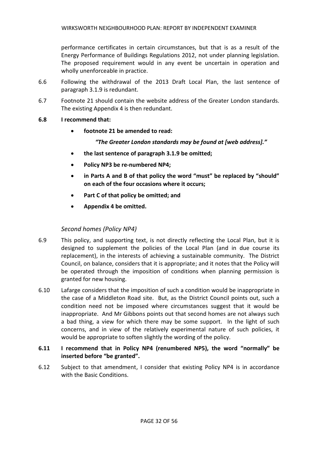performance certificates in certain circumstances, but that is as a result of the Energy Performance of Buildings Regulations 2012, not under planning legislation. The proposed requirement would in any event be uncertain in operation and wholly unenforceable in practice.

- 6.6 Following the withdrawal of the 2013 Draft Local Plan, the last sentence of paragraph 3.1.9 is redundant.
- 6.7 Footnote 21 should contain the website address of the Greater London standards. The existing Appendix 4 is then redundant.
- **6.8 I recommend that:**
	- **footnote 21 be amended to read:**

*"The Greater London standards may be found at [web address]."*

- **the last sentence of paragraph 3.1.9 be omitted;**
- **Policy NP3 be re-numbered NP4;**
- **in Parts A and B of that policy the word "must" be replaced by "should" on each of the four occasions where it occurs;**
- **Part C of that policy be omitted; and**
- **Appendix 4 be omitted.**

# *Second homes (Policy NP4)*

- 6.9 This policy, and supporting text, is not directly reflecting the Local Plan, but it is designed to supplement the policies of the Local Plan (and in due course its replacement), in the interests of achieving a sustainable community. The District Council, on balance, considers that it is appropriate; and it notes that the Policy will be operated through the imposition of conditions when planning permission is granted for new housing.
- 6.10 Lafarge considers that the imposition of such a condition would be inappropriate in the case of a Middleton Road site. But, as the District Council points out, such a condition need not be imposed where circumstances suggest that it would be inappropriate. And Mr Gibbons points out that second homes are not always such a bad thing, a view for which there may be some support. In the light of such concerns, and in view of the relatively experimental nature of such policies, it would be appropriate to soften slightly the wording of the policy.
- **6.11 I recommend that in Policy NP4 (renumbered NP5), the word "normally" be inserted before "be granted".**
- 6.12 Subject to that amendment, I consider that existing Policy NP4 is in accordance with the Basic Conditions.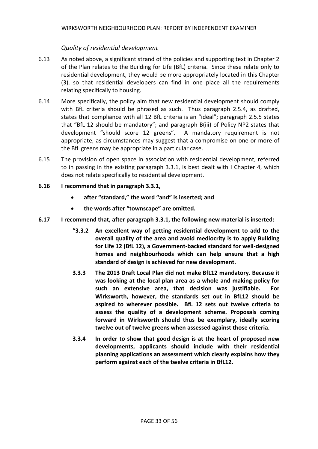# *Quality of residential development*

- 6.13 As noted above, a significant strand of the policies and supporting text in Chapter 2 of the Plan relates to the Building for Life (BfL) criteria. Since these relate only to residential development, they would be more appropriately located in this Chapter (3), so that residential developers can find in one place all the requirements relating specifically to housing.
- 6.14 More specifically, the policy aim that new residential development should comply with BfL criteria should be phrased as such. Thus paragraph 2.5.4, as drafted, states that compliance with all 12 BfL criteria is an "ideal"; paragraph 2.5.5 states that "BfL 12 should be mandatory"; and paragraph B(iii) of Policy NP2 states that development "should score 12 greens". A mandatory requirement is not appropriate, as circumstances may suggest that a compromise on one or more of the BfL greens may be appropriate in a particular case.
- 6.15 The provision of open space in association with residential development, referred to in passing in the existing paragraph 3.3.1, is best dealt with I Chapter 4, which does not relate specifically to residential development.
- **6.16 I recommend that in paragraph 3.3.1,** 
	- **after "standard," the word "and" is inserted; and**
	- **the words after "townscape" are omitted.**
- **6.17 I recommend that, after paragraph 3.3.1, the following new material is inserted:**
	- **"3.3.2 An excellent way of getting residential development to add to the overall quality of the area and avoid mediocrity is to apply Building for Life 12 (BfL 12), a Government-backed standard for well-designed homes and neighbourhoods which can help ensure that a high standard of design is achieved for new development.**
	- **3.3.3 The 2013 Draft Local Plan did not make BfL12 mandatory. Because it was looking at the local plan area as a whole and making policy for such an extensive area, that decision was justifiable. For Wirksworth, however, the standards set out in BfL12 should be aspired to wherever possible. BfL 12 sets out twelve criteria to assess the quality of a development scheme. Proposals coming forward in Wirksworth should thus be exemplary, ideally scoring twelve out of twelve greens when assessed against those criteria.**
	- **3.3.4 In order to show that good design is at the heart of proposed new developments, applicants should include with their residential planning applications an assessment which clearly explains how they perform against each of the twelve criteria in BfL12.**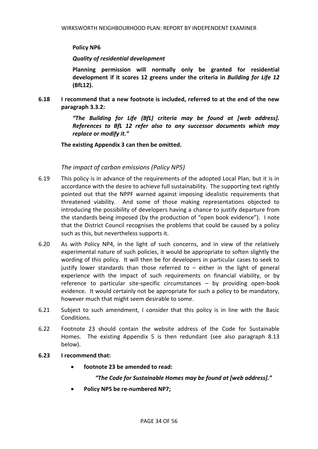#### **Policy NP6**

#### *Quality of residential development*

**Planning permission will normally only be granted for residential development if it scores 12 greens under the criteria in** *Building for Life 12* **(BfL12).**

**6.18 I recommend that a new footnote is included, referred to at the end of the new paragraph 3.3.2:**

> *"The Building for Life (BfL) criteria may be found at [web address]. References to BfL 12 refer also to any successor documents which may replace or modify it."*

**The existing Appendix 3 can then be omitted.**

# *The impact of carbon emissions (Policy NP5)*

- 6.19 This policy is in advance of the requirements of the adopted Local Plan, but it is in accordance with the desire to achieve full sustainability. The supporting text rightly pointed out that the NPPF warned against imposing idealistic requirements that threatened viability. And some of those making representations objected to introducing the possibility of developers having a chance to justify departure from the standards being imposed (by the production of "open book evidence"). I note that the District Council recognises the problems that could be caused by a policy such as this, but nevertheless supports it.
- 6.20 As with Policy NP4, in the light of such concerns, and in view of the relatively experimental nature of such policies, it would be appropriate to soften slightly the wording of this policy. It will then be for developers in particular cases to seek to justify lower standards than those referred to – either in the light of general experience with the impact of such requirements on financial viability, or by reference to particular site-specific circumstances – by providing open-book evidence. It would certainly not be appropriate for such a policy to be mandatory, however much that might seem desirable to some.
- 6.21 Subject to such amendment, I consider that this policy is in line with the Basic Conditions.
- 6.22 Footnote 23 should contain the website address of the Code for Sustainable Homes. The existing Appendix 5 is then redundant (see also paragraph 8.13 below).

#### **6.23 I recommend that:**

**footnote 23 be amended to read:**

#### *"The Code for Sustainable Homes may be found at [web address]."*

**Policy NP5 be re-numbered NP7;**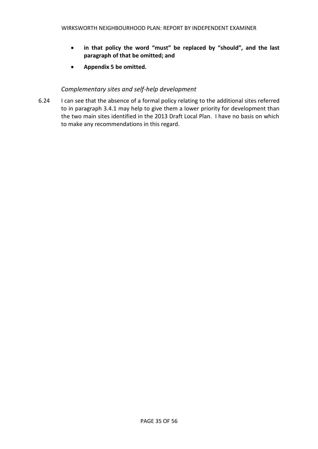- **in that policy the word "must" be replaced by "should", and the last paragraph of that be omitted; and**
- **Appendix 5 be omitted.**

# *Complementary sites and self-help development*

6.24 I can see that the absence of a formal policy relating to the additional sites referred to in paragraph 3.4.1 may help to give them a lower priority for development than the two main sites identified in the 2013 Draft Local Plan. I have no basis on which to make any recommendations in this regard.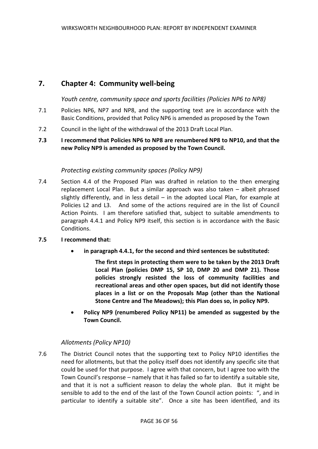# **7. Chapter 4: Community well-being**

# *Youth centre, community space and sports facilities (Policies NP6 to NP8)*

- 7.1 Policies NP6, NP7 and NP8, and the supporting text are in accordance with the Basic Conditions, provided that Policy NP6 is amended as proposed by the Town
- 7.2 Council in the light of the withdrawal of the 2013 Draft Local Plan.
- **7.3 I recommend that Policies NP6 to NP8 are renumbered NP8 to NP10, and that the new Policy NP9 is amended as proposed by the Town Council.**

# *Protecting existing community spaces (Policy NP9)*

7.4 Section 4.4 of the Proposed Plan was drafted in relation to the then emerging replacement Local Plan. But a similar approach was also taken – albeit phrased slightly differently, and in less detail – in the adopted Local Plan, for example at Policies L2 and L3. And some of the actions required are in the list of Council Action Points. I am therefore satisfied that, subject to suitable amendments to paragraph 4.4.1 and Policy NP9 itself, this section is in accordance with the Basic Conditions.

#### **7.5 I recommend that:**

**in paragraph 4.4.1, for the second and third sentences be substituted:**

**The first steps in protecting them were to be taken by the 2013 Draft Local Plan (policies DMP 15, SP 10, DMP 20 and DMP 21). Those policies strongly resisted the loss of community facilities and recreational areas and other open spaces, but did not identify those places in a list or on the Proposals Map (other than the National Stone Centre and The Meadows); this Plan does so, in policy NP9.**

 **Policy NP9 (renumbered Policy NP11) be amended as suggested by the Town Council.**

# *Allotments (Policy NP10)*

7.6 The District Council notes that the supporting text to Policy NP10 identifies the need for allotments, but that the policy itself does not identify any specific site that could be used for that purpose. I agree with that concern, but I agree too with the Town Council's response – namely that it has failed so far to identify a suitable site, and that it is not a sufficient reason to delay the whole plan. But it might be sensible to add to the end of the last of the Town Council action points: ", and in particular to identify a suitable site". Once a site has been identified, and its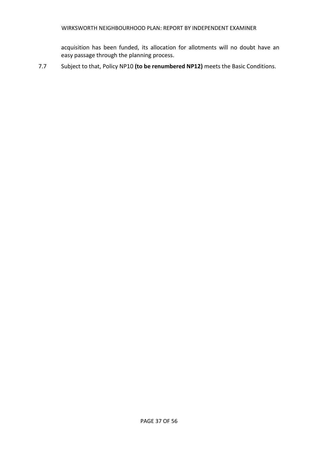acquisition has been funded, its allocation for allotments will no doubt have an easy passage through the planning process.

7.7 Subject to that, Policy NP10 **(to be renumbered NP12)** meets the Basic Conditions.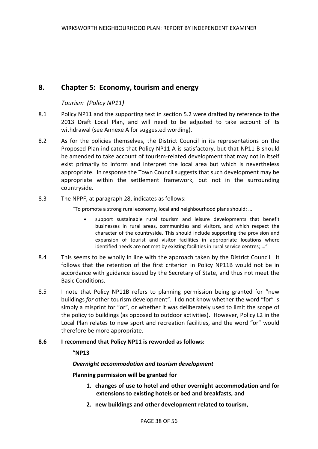# **8. Chapter 5: Economy, tourism and energy**

#### *Tourism (Policy NP11)*

- 8.1 Policy NP11 and the supporting text in section 5.2 were drafted by reference to the 2013 Draft Local Plan, and will need to be adjusted to take account of its withdrawal (see Annexe A for suggested wording).
- 8.2 As for the policies themselves, the District Council in its representations on the Proposed Plan indicates that Policy NP11 A is satisfactory, but that NP11 B should be amended to take account of tourism-related development that may not in itself exist primarily to inform and interpret the local area but which is nevertheless appropriate. In response the Town Council suggests that such development may be appropriate within the settlement framework, but not in the surrounding countryside.
- 8.3 The NPPF, at paragraph 28, indicates as follows:

"To promote a strong rural economy, local and neighbourhood plans should: …

- support sustainable rural tourism and leisure developments that benefit businesses in rural areas, communities and visitors, and which respect the character of the countryside. This should include supporting the provision and expansion of tourist and visitor facilities in appropriate locations where identified needs are not met by existing facilities in rural service centres; …"
- 8.4 This seems to be wholly in line with the approach taken by the District Council. It follows that the retention of the first criterion in Policy NP11B would not be in accordance with guidance issued by the Secretary of State, and thus not meet the Basic Conditions.
- 8.5 I note that Policy NP11B refers to planning permission being granted for "new buildings *for* other tourism development". I do not know whether the word "for" is simply a misprint for "or", or whether it was deliberately used to limit the scope of the policy to buildings (as opposed to outdoor activities). However, Policy L2 in the Local Plan relates to new sport and recreation facilities, and the word "or" would therefore be more appropriate.

#### **8.6 I recommend that Policy NP11 is reworded as follows:**

#### **"NP13**

#### *Overnight accommodation and tourism development*

#### **Planning permission will be granted for**

- **1. changes of use to hotel and other overnight accommodation and for extensions to existing hotels or bed and breakfasts, and**
- **2. new buildings and other development related to tourism,**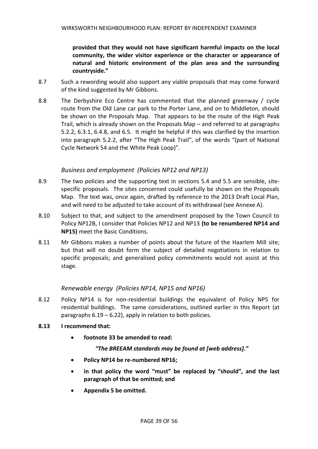**provided that they would not have significant harmful impacts on the local community, the wider visitor experience or the character or appearance of natural and historic environment of the plan area and the surrounding countryside."**

- 8.7 Such a rewording would also support any viable proposals that may come forward of the kind suggested by Mr Gibbons.
- 8.8 The Derbyshire Eco Centre has commented that the planned greenway / cycle route from the Old Lane car park to the Porter Lane, and on to Middleton, should be shown on the Proposals Map. That appears to be the route of the High Peak Trail, which is already shown on the Proposals Map – and referred to at paragraphs 5.2.2, 6.3.1, 6.4.8, and 6.5. It might be helpful if this was clarified by the insertion into paragraph 5.2.2, after "The High Peak Trail", of the words "(part of National Cycle Network 54 and the White Peak Loop)".

#### *Business and employment (Policies NP12 and NP13)*

- 8.9 The two policies and the supporting text in sections 5.4 and 5.5 are sensible, sitespecific proposals. The sites concerned could usefully be shown on the Proposals Map. The text was, once again, drafted by reference to the 2013 Draft Local Plan, and will need to be adjusted to take account of its withdrawal (see Annexe A).
- 8.10 Subject to that, and subject to the amendment proposed by the Town Council to Policy NP12B, I consider that Policies NP12 and NP13 **(to be renumbered NP14 and NP15)** meet the Basic Conditions.
- 8.11 Mr Gibbons makes a number of points about the future of the Haarlem Mill site; but that will no doubt form the subject of detailed negotiations in relation to specific proposals; and generalised policy commitments would not assist at this stage.

#### *Renewable energy (Policies NP14, NP15 and NP16)*

- 8.12 Policy NP14 is for non-residential buildings the equivalent of Policy NP5 for residential buildings. The same considerations, outlined earlier in this Report (at paragraphs 6.19 – 6.22), apply in relation to both policies.
- **8.13 I recommend that:**
	- **footnote 33 be amended to read:**

#### *"The BREEAM standards may be found at [web address]."*

- **Policy NP14 be re-numbered NP16;**
- **in that policy the word "must" be replaced by "should", and the last paragraph of that be omitted; and**
- **Appendix 5 be omitted.**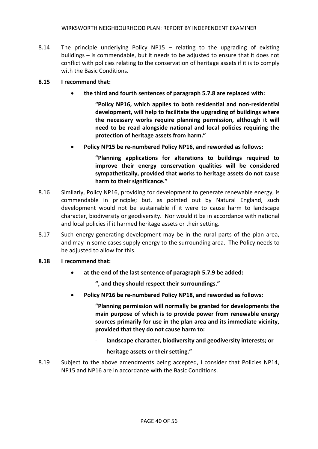- 8.14 The principle underlying Policy NP15 relating to the upgrading of existing buildings – is commendable, but it needs to be adjusted to ensure that it does not conflict with policies relating to the conservation of heritage assets if it is to comply with the Basic Conditions.
- **8.15 I recommend that:**
	- **the third and fourth sentences of paragraph 5.7.8 are replaced with:**

**"Policy NP16, which applies to both residential and non-residential development, will help to facilitate the upgrading of buildings where the necessary works require planning permission, although it will need to be read alongside national and local policies requiring the protection of heritage assets from harm."** 

**Policy NP15 be re-numbered Policy NP16, and reworded as follows:**

**"Planning applications for alterations to buildings required to improve their energy conservation qualities will be considered sympathetically, provided that works to heritage assets do not cause harm to their significance."**

- 8.16 Similarly, Policy NP16, providing for development to generate renewable energy, is commendable in principle; but, as pointed out by Natural England, such development would not be sustainable if it were to cause harm to landscape character, biodiversity or geodiversity. Nor would it be in accordance with national and local policies if it harmed heritage assets or their setting.
- 8.17 Such energy-generating development may be in the rural parts of the plan area, and may in some cases supply energy to the surrounding area. The Policy needs to be adjusted to allow for this.

#### **8.18 I recommend that:**

**at the end of the last sentence of paragraph 5.7.9 be added:**

**", and they should respect their surroundings."** 

**Policy NP16 be re-numbered Policy NP18, and reworded as follows:**

**"Planning permission will normally be granted for developments the main purpose of which is to provide power from renewable energy sources primarily for use in the plan area and its immediate vicinity, provided that they do not cause harm to:**

- landscape character, biodiversity and geodiversity interests; or
- **heritage assets or their setting."**
- 8.19 Subject to the above amendments being accepted, I consider that Policies NP14, NP15 and NP16 are in accordance with the Basic Conditions.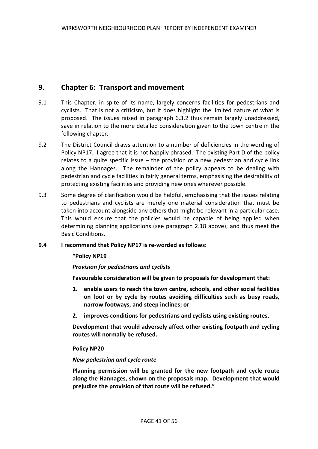# **9. Chapter 6: Transport and movement**

- 9.1 This Chapter, in spite of its name, largely concerns facilities for pedestrians and cyclists. That is not a criticism, but it does highlight the limited nature of what is proposed. The issues raised in paragraph 6.3.2 thus remain largely unaddressed, save in relation to the more detailed consideration given to the town centre in the following chapter.
- 9.2 The District Council draws attention to a number of deficiencies in the wording of Policy NP17. I agree that it is not happily phrased. The existing Part D of the policy relates to a quite specific issue – the provision of a new pedestrian and cycle link along the Hannages. The remainder of the policy appears to be dealing with pedestrian and cycle facilities in fairly general terms, emphasising the desirability of protecting existing facilities and providing new ones wherever possible.
- 9.3 Some degree of clarification would be helpful, emphasising that the issues relating to pedestrians and cyclists are merely one material consideration that must be taken into account alongside any others that might be relevant in a particular case. This would ensure that the policies would be capable of being applied when determining planning applications (see paragraph 2.18 above), and thus meet the Basic Conditions.

#### **9.4 I recommend that Policy NP17 is re-worded as follows:**

#### **"Policy NP19**

#### *Provision for pedestrians and cyclists*

**Favourable consideration will be given to proposals for development that:**

- **1. enable users to reach the town centre, schools, and other social facilities on foot or by cycle by routes avoiding difficulties such as busy roads, narrow footways, and steep inclines; or**
- **2. improves conditions for pedestrians and cyclists using existing routes.**

**Development that would adversely affect other existing footpath and cycling routes will normally be refused.**

#### **Policy NP20**

#### *New pedestrian and cycle route*

**Planning permission will be granted for the new footpath and cycle route along the Hannages, shown on the proposals map. Development that would prejudice the provision of that route will be refused."**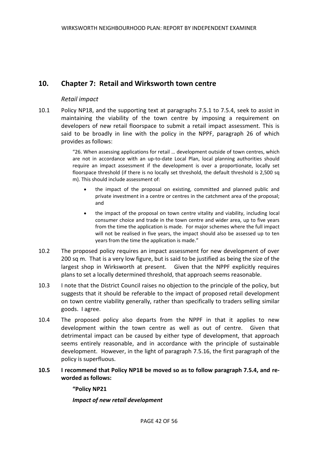# **10. Chapter 7: Retail and Wirksworth town centre**

# *Retail impact*

10.1 Policy NP18, and the supporting text at paragraphs 7.5.1 to 7.5.4, seek to assist in maintaining the viability of the town centre by imposing a requirement on developers of new retail floorspace to submit a retail impact assessment. This is said to be broadly in line with the policy in the NPPF, paragraph 26 of which provides as follows:

> "26. When assessing applications for retail … development outside of town centres, which are not in accordance with an up-to-date Local Plan, local planning authorities should require an impact assessment if the development is over a proportionate, locally set floorspace threshold (if there is no locally set threshold, the default threshold is 2,500 sq m). This should include assessment of:

- the impact of the proposal on existing, committed and planned public and private investment in a centre or centres in the catchment area of the proposal; and
- the impact of the proposal on town centre vitality and viability, including local consumer choice and trade in the town centre and wider area, up to five years from the time the application is made. For major schemes where the full impact will not be realised in five years, the impact should also be assessed up to ten years from the time the application is made."
- 10.2 The proposed policy requires an impact assessment for new development of over 200 sq m. That is a very low figure, but is said to be justified as being the size of the largest shop in Wirksworth at present. Given that the NPPF explicitly requires plans to set a locally determined threshold, that approach seems reasonable.
- 10.3 I note that the District Council raises no objection to the principle of the policy, but suggests that it should be referable to the impact of proposed retail development on town centre viability generally, rather than specifically to traders selling similar goods. I agree.
- 10.4 The proposed policy also departs from the NPPF in that it applies to new development within the town centre as well as out of centre. Given that detrimental impact can be caused by either type of development, that approach seems entirely reasonable, and in accordance with the principle of sustainable development. However, in the light of paragraph 7.5.16, the first paragraph of the policy is superfluous.
- **10.5 I recommend that Policy NP18 be moved so as to follow paragraph 7.5.4, and reworded as follows:**

**"Policy NP21**

*Impact of new retail development*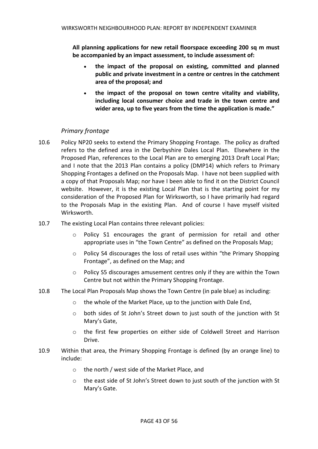**All planning applications for new retail floorspace exceeding 200 sq m must be accompanied by an impact assessment, to include assessment of:**

- **the impact of the proposal on existing, committed and planned public and private investment in a centre or centres in the catchment area of the proposal; and**
- **the impact of the proposal on town centre vitality and viability, including local consumer choice and trade in the town centre and wider area, up to five years from the time the application is made."**

# *Primary frontage*

- 10.6 Policy NP20 seeks to extend the Primary Shopping Frontage. The policy as drafted refers to the defined area in the Derbyshire Dales Local Plan. Elsewhere in the Proposed Plan, references to the Local Plan are to emerging 2013 Draft Local Plan; and I note that the 2013 Plan contains a policy (DMP14) which refers to Primary Shopping Frontages a defined on the Proposals Map. I have not been supplied with a copy of that Proposals Map; nor have I been able to find it on the District Council website. However, it is the existing Local Plan that is the starting point for my consideration of the Proposed Plan for Wirksworth, so I have primarily had regard to the Proposals Map in the existing Plan. And of course I have myself visited Wirksworth.
- 10.7 The existing Local Plan contains three relevant policies:
	- Policy S1 encourages the grant of permission for retail and other appropriate uses in "the Town Centre" as defined on the Proposals Map;
	- o Policy S4 discourages the loss of retail uses within "the Primary Shopping Frontage", as defined on the Map; and
	- o Policy S5 discourages amusement centres only if they are within the Town Centre but not within the Primary Shopping Frontage.
- 10.8 The Local Plan Proposals Map shows the Town Centre (in pale blue) as including:
	- o the whole of the Market Place, up to the junction with Dale End,
	- $\circ$  both sides of St John's Street down to just south of the junction with St Mary's Gate,
	- o the first few properties on either side of Coldwell Street and Harrison Drive.
- 10.9 Within that area, the Primary Shopping Frontage is defined (by an orange line) to include:
	- o the north / west side of the Market Place, and
	- o the east side of St John's Street down to just south of the junction with St Mary's Gate.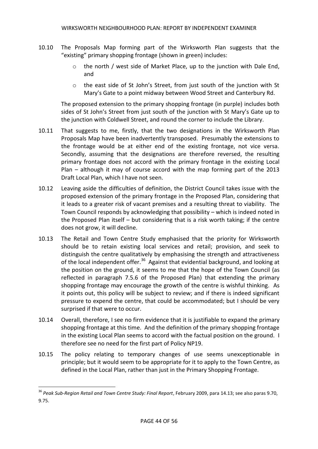- 10.10 The Proposals Map forming part of the Wirksworth Plan suggests that the "existing" primary shopping frontage (shown in green) includes:
	- o the north / west side of Market Place, up to the junction with Dale End, and
	- o the east side of St John's Street, from just south of the junction with St Mary's Gate to a point midway between Wood Street and Canterbury Rd.

The proposed extension to the primary shopping frontage (in purple) includes both sides of St John's Street from just south of the junction with St Mary's Gate up to the junction with Coldwell Street, and round the corner to include the Library.

- 10.11 That suggests to me, firstly, that the two designations in the Wirksworth Plan Proposals Map have been inadvertently transposed. Presumably the extensions to the frontage would be at either end of the existing frontage, not vice versa. Secondly, assuming that the designations are therefore reversed, the resulting primary frontage does not accord with the primary frontage in the existing Local Plan – although it may of course accord with the map forming part of the 2013 Draft Local Plan, which I have not seen.
- 10.12 Leaving aside the difficulties of definition, the District Council takes issue with the proposed extension of the primary frontage in the Proposed Plan, considering that it leads to a greater risk of vacant premises and a resulting threat to viability. The Town Council responds by acknowledging that possibility – which is indeed noted in the Proposed Plan itself – but considering that is a risk worth taking; if the centre does not grow, it will decline.
- 10.13 The Retail and Town Centre Study emphasised that the priority for Wirksworth should be to retain existing local services and retail; provision, and seek to distinguish the centre qualitatively by emphasising the strength and attractiveness of the local independent offer.<sup>36</sup> Against that evidential background, and looking at the position on the ground, it seems to me that the hope of the Town Council (as reflected in paragraph 7.5.6 of the Proposed Plan) that extending the primary shopping frontage may encourage the growth of the centre is wishful thinking. As it points out, this policy will be subject to review; and if there is indeed significant pressure to expend the centre, that could be accommodated; but I should be very surprised if that were to occur.
- 10.14 Overall, therefore, I see no firm evidence that it is justifiable to expand the primary shopping frontage at this time. And the definition of the primary shopping frontage in the existing Local Plan seems to accord with the factual position on the ground. I therefore see no need for the first part of Policy NP19.
- 10.15 The policy relating to temporary changes of use seems unexceptionable in principle; but it would seem to be appropriate for it to apply to the Town Centre, as defined in the Local Plan, rather than just in the Primary Shopping Frontage.

1

<sup>36</sup> *Peak Sub-Region Retail and Town Centre Study: Final Report*, February 2009, para 14.13; see also paras 9.70, 9.75.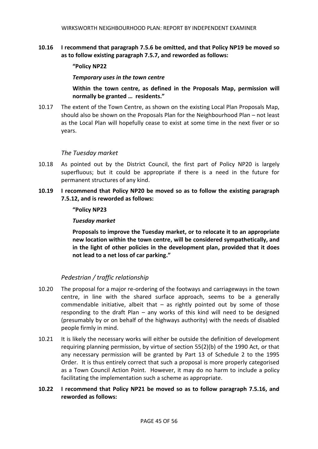**10.16 I recommend that paragraph 7.5.6 be omitted, and that Policy NP19 be moved so as to follow existing paragraph 7.5.7, and reworded as follows:**

#### **"Policy NP22**

*Temporary uses in the town centre*

**Within the town centre, as defined in the Proposals Map, permission will normally be granted … residents."**

10.17 The extent of the Town Centre, as shown on the existing Local Plan Proposals Map, should also be shown on the Proposals Plan for the Neighbourhood Plan – not least as the Local Plan will hopefully cease to exist at some time in the next fiver or so years.

#### *The Tuesday market*

- 10.18 As pointed out by the District Council, the first part of Policy NP20 is largely superfluous; but it could be appropriate if there is a need in the future for permanent structures of any kind.
- **10.19 I recommend that Policy NP20 be moved so as to follow the existing paragraph 7.5.12, and is reworded as follows:**

#### **"Policy NP23**

#### *Tuesday market*

**Proposals to improve the Tuesday market, or to relocate it to an appropriate new location within the town centre, will be considered sympathetically, and in the light of other policies in the development plan, provided that it does not lead to a net loss of car parking."**

# *Pedestrian / traffic relationship*

- 10.20 The proposal for a major re-ordering of the footways and carriageways in the town centre, in line with the shared surface approach, seems to be a generally commendable initiative, albeit that  $-$  as rightly pointed out by some of those responding to the draft Plan – any works of this kind will need to be designed (presumably by or on behalf of the highways authority) with the needs of disabled people firmly in mind.
- 10.21 It is likely the necessary works will either be outside the definition of development requiring planning permission, by virtue of section 55(2)(b) of the 1990 Act, or that any necessary permission will be granted by Part 13 of Schedule 2 to the 1995 Order. It is thus entirely correct that such a proposal is more properly categorised as a Town Council Action Point. However, it may do no harm to include a policy facilitating the implementation such a scheme as appropriate.

# **10.22 I recommend that Policy NP21 be moved so as to follow paragraph 7.5.16, and reworded as follows:**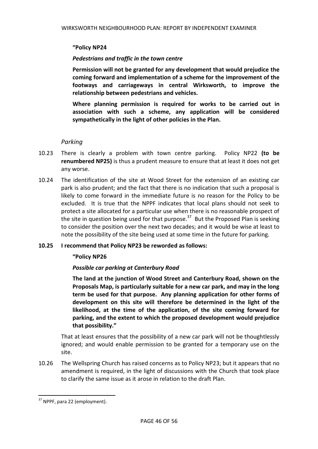#### **"Policy NP24**

#### *Pedestrians and traffic in the town centre*

**Permission will not be granted for any development that would prejudice the coming forward and implementation of a scheme for the improvement of the footways and carriageways in central Wirksworth, to improve the relationship between pedestrians and vehicles.** 

**Where planning permission is required for works to be carried out in association with such a scheme, any application will be considered sympathetically in the light of other policies in the Plan.** 

#### *Parking*

- 10.23 There is clearly a problem with town centre parking. Policy NP22 **(to be renumbered NP25)** is thus a prudent measure to ensure that at least it does not get any worse.
- 10.24 The identification of the site at Wood Street for the extension of an existing car park is also prudent; and the fact that there is no indication that such a proposal is likely to come forward in the immediate future is no reason for the Policy to be excluded. It is true that the NPPF indicates that local plans should not seek to protect a site allocated for a particular use when there is no reasonable prospect of the site in question being used for that purpose.<sup>37</sup> But the Proposed Plan is seeking to consider the position over the next two decades; and it would be wise at least to note the possibility of the site being used at some time in the future for parking.

#### **10.25 I recommend that Policy NP23 be reworded as follows:**

#### **"Policy NP26**

# *Possible car parking at Canterbury Road*

**The land at the junction of Wood Street and Canterbury Road, shown on the Proposals Map, is particularly suitable for a new car park, and may in the long term be used for that purpose. Any planning application for other forms of development on this site will therefore be determined in the light of the likelihood, at the time of the application, of the site coming forward for parking, and the extent to which the proposed development would prejudice that possibility."**

That at least ensures that the possibility of a new car park will not be thoughtlessly ignored; and would enable permission to be granted for a temporary use on the site.

10.26 The Wellspring Church has raised concerns as to Policy NP23; but it appears that no amendment is required, in the light of discussions with the Church that took place to clarify the same issue as it arose in relation to the draft Plan.

**.** 

<sup>&</sup>lt;sup>37</sup> NPPF, para 22 (employment).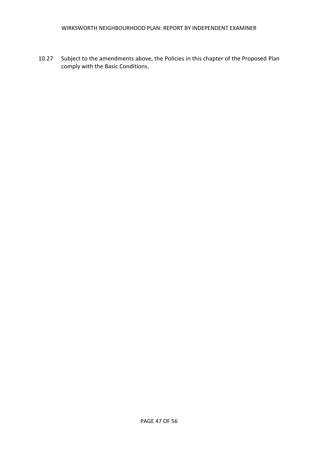10.27 Subject to the amendments above, the Policies in this chapter of the Proposed Plan comply with the Basic Conditions.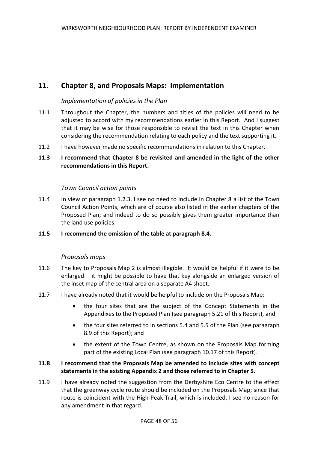# **11. Chapter 8, and Proposals Maps: Implementation**

#### *Implementation of policies in the Plan*

- 11.1 Throughout the Chapter, the numbers and titles of the policies will need to be adjusted to accord with my recommendations earlier in this Report. And I suggest that it may be wise for those responsible to revisit the text in this Chapter when considering the recommendation relating to each policy and the text supporting it.
- 11.2 I have however made no specific recommendations in relation to this Chapter.

# **11.3 I recommend that Chapter 8 be revisited and amended in the light of the other recommendations in this Report.**

#### *Town Council action points*

- 11.4 In view of paragraph 1.2.3, I see no need to include in Chapter 8 a list of the Town Council Action Points, which are of course also listed in the earlier chapters of the Proposed Plan; and indeed to do so possibly gives them greater importance than the land use policies.
- **11.5 I recommend the omission of the table at paragraph 8.4.**

#### *Proposals maps*

- 11.6 The key to Proposals Map 2 is almost illegible. It would be helpful if it were to be enlarged – it might be possible to have that key alongside an enlarged version of the inset map of the central area on a separate A4 sheet.
- 11.7 I have already noted that it would be helpful to include on the Proposals Map:
	- the four sites that are the subject of the Concept Statements in the Appendixes to the Proposed Plan (see paragraph 5.21 of this Report), and
	- the four sites referred to in sections 5.4 and 5.5 of the Plan (see paragraph 8.9 of this Report); and
	- the extent of the Town Centre, as shown on the Proposals Map forming part of the existing Local Plan (see paragraph 10.17 of this Report).

#### **11.8 I recommend that the Proposals Map be amended to include sites with concept statements in the existing Appendix 2 and those referred to in Chapter 5.**

11.9 I have already noted the suggestion from the Derbyshire Eco Centre to the effect that the greenway cycle route should be included on the Proposals Map; since that route is coincident with the High Peak Trail, which is included, I see no reason for any amendment in that regard.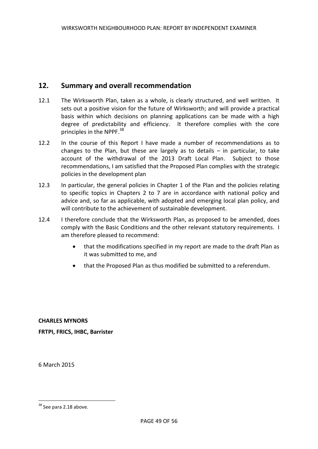# **12. Summary and overall recommendation**

- 12.1 The Wirksworth Plan, taken as a whole, is clearly structured, and well written. It sets out a positive vision for the future of Wirksworth; and will provide a practical basis within which decisions on planning applications can be made with a high degree of predictability and efficiency. It therefore complies with the core principles in the NPPF.<sup>38</sup>
- 12.2 In the course of this Report I have made a number of recommendations as to changes to the Plan, but these are largely as to details – in particular, to take account of the withdrawal of the 2013 Draft Local Plan. Subject to those recommendations, I am satisfied that the Proposed Plan complies with the strategic policies in the development plan
- 12.3 In particular, the general policies in Chapter 1 of the Plan and the policies relating to specific topics in Chapters 2 to 7 are in accordance with national policy and advice and, so far as applicable, with adopted and emerging local plan policy, and will contribute to the achievement of sustainable development.
- 12.4 I therefore conclude that the Wirksworth Plan, as proposed to be amended, does comply with the Basic Conditions and the other relevant statutory requirements. I am therefore pleased to recommend:
	- that the modifications specified in my report are made to the draft Plan as it was submitted to me, and
	- that the Proposed Plan as thus modified be submitted to a referendum.

**CHARLES MYNORS FRTPI, FRICS, IHBC, Barrister**

6 March 2015

 $\overline{\phantom{a}}$ 

<sup>&</sup>lt;sup>38</sup> See para 2.18 above.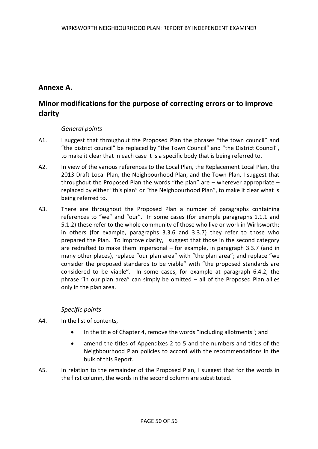# **Annexe A.**

# **Minor modifications for the purpose of correcting errors or to improve clarity**

# *General points*

- A1. I suggest that throughout the Proposed Plan the phrases "the town council" and "the district council" be replaced by "the Town Council" and "the District Council", to make it clear that in each case it is a specific body that is being referred to.
- A2. In view of the various references to the Local Plan, the Replacement Local Plan, the 2013 Draft Local Plan, the Neighbourhood Plan, and the Town Plan, I suggest that throughout the Proposed Plan the words "the plan" are – wherever appropriate – replaced by either "this plan" or "the Neighbourhood Plan", to make it clear what is being referred to.
- A3. There are throughout the Proposed Plan a number of paragraphs containing references to "we" and "our". In some cases (for example paragraphs 1.1.1 and 5.1.2) these refer to the whole community of those who live or work in Wirksworth; in others (for example, paragraphs 3.3.6 and 3.3.7) they refer to those who prepared the Plan. To improve clarity, I suggest that those in the second category are redrafted to make them impersonal – for example, in paragraph 3.3.7 (and in many other places), replace "our plan area" with "the plan area"; and replace "we consider the proposed standards to be viable" with "the proposed standards are considered to be viable". In some cases, for example at paragraph 6.4.2, the phrase "in our plan area" can simply be omitted – all of the Proposed Plan allies only in the plan area.

# *Specific points*

- A4. In the list of contents,
	- In the title of Chapter 4, remove the words "including allotments"; and
	- amend the titles of Appendixes 2 to 5 and the numbers and titles of the Neighbourhood Plan policies to accord with the recommendations in the bulk of this Report.
- A5. In relation to the remainder of the Proposed Plan, I suggest that for the words in the first column, the words in the second column are substituted.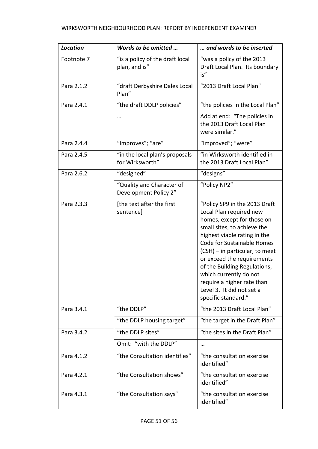| <b>Location</b> | Words to be omitted                                | and words to be inserted                                                                                                                                                                                                                                                                                                                                                                        |
|-----------------|----------------------------------------------------|-------------------------------------------------------------------------------------------------------------------------------------------------------------------------------------------------------------------------------------------------------------------------------------------------------------------------------------------------------------------------------------------------|
| Footnote 7      | "is a policy of the draft local<br>plan, and is"   | "was a policy of the 2013<br>Draft Local Plan. Its boundary<br>is"                                                                                                                                                                                                                                                                                                                              |
| Para 2.1.2      | "draft Derbyshire Dales Local<br>Plan"             | "2013 Draft Local Plan"                                                                                                                                                                                                                                                                                                                                                                         |
| Para 2.4.1      | "the draft DDLP policies"                          | "the policies in the Local Plan"                                                                                                                                                                                                                                                                                                                                                                |
|                 |                                                    | Add at end: "The policies in<br>the 2013 Draft Local Plan<br>were similar."                                                                                                                                                                                                                                                                                                                     |
| Para 2.4.4      | "improves"; "are"                                  | "improved"; "were"                                                                                                                                                                                                                                                                                                                                                                              |
| Para 2.4.5      | "in the local plan's proposals<br>for Wirksworth"  | "in Wirksworth identified in<br>the 2013 Draft Local Plan"                                                                                                                                                                                                                                                                                                                                      |
| Para 2.6.2      | "designed"                                         | "designs"                                                                                                                                                                                                                                                                                                                                                                                       |
|                 | "Quality and Character of<br>Development Policy 2" | "Policy NP2"                                                                                                                                                                                                                                                                                                                                                                                    |
| Para 2.3.3      | [the text after the first<br>sentence]             | "Policy SP9 in the 2013 Draft<br>Local Plan required new<br>homes, except for those on<br>small sites, to achieve the<br>highest viable rating in the<br>Code for Sustainable Homes<br>(CSH) - in particular, to meet<br>or exceed the requirements<br>of the Building Regulations,<br>which currently do not<br>require a higher rate than<br>Level 3. It did not set a<br>specific standard." |
| Para 3.4.1      | "the DDLP"                                         | "the 2013 Draft Local Plan"                                                                                                                                                                                                                                                                                                                                                                     |
|                 | "the DDLP housing target"                          | "the target in the Draft Plan"                                                                                                                                                                                                                                                                                                                                                                  |
| Para 3.4.2      | "the DDLP sites"                                   | "the sites in the Draft Plan"                                                                                                                                                                                                                                                                                                                                                                   |
|                 | Omit: "with the DDLP"                              |                                                                                                                                                                                                                                                                                                                                                                                                 |
| Para 4.1.2      | "the Consultation identifies"                      | "the consultation exercise<br>identified"                                                                                                                                                                                                                                                                                                                                                       |
| Para 4.2.1      | "the Consultation shows"                           | "the consultation exercise<br>identified"                                                                                                                                                                                                                                                                                                                                                       |
| Para 4.3.1      | "the Consultation says"                            | "the consultation exercise<br>identified"                                                                                                                                                                                                                                                                                                                                                       |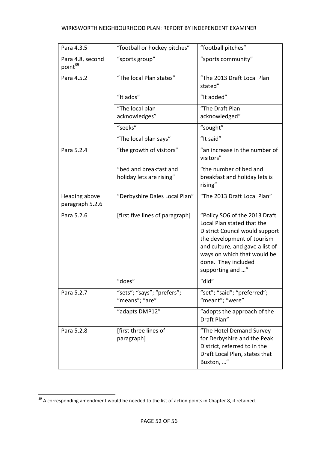| Para 4.3.5                              | "football or hockey pitches"                 | "football pitches"                                                                                                                                                                                                                       |
|-----------------------------------------|----------------------------------------------|------------------------------------------------------------------------------------------------------------------------------------------------------------------------------------------------------------------------------------------|
| Para 4.8, second<br>point <sup>39</sup> | "sports group"                               | "sports community"                                                                                                                                                                                                                       |
| Para 4.5.2                              | "The local Plan states"                      | "The 2013 Draft Local Plan<br>stated"                                                                                                                                                                                                    |
|                                         | "It adds"                                    | "It added"                                                                                                                                                                                                                               |
|                                         | "The local plan                              | "The Draft Plan                                                                                                                                                                                                                          |
|                                         | acknowledges"                                | acknowledged"                                                                                                                                                                                                                            |
|                                         | "seeks"                                      | "sought"                                                                                                                                                                                                                                 |
|                                         | "The local plan says"                        | "It said"                                                                                                                                                                                                                                |
| Para 5.2.4                              | "the growth of visitors"                     | "an increase in the number of<br>visitors"                                                                                                                                                                                               |
|                                         | "bed and breakfast and                       | "the number of bed and                                                                                                                                                                                                                   |
|                                         | holiday lets are rising"                     | breakfast and holiday lets is<br>rising"                                                                                                                                                                                                 |
| Heading above<br>paragraph 5.2.6        | "Derbyshire Dales Local Plan"                | "The 2013 Draft Local Plan"                                                                                                                                                                                                              |
| Para 5.2.6                              | [first five lines of paragraph]              | "Policy SO6 of the 2013 Draft<br>Local Plan stated that the<br>District Council would support<br>the development of tourism<br>and culture, and gave a list of<br>ways on which that would be<br>done. They included<br>supporting and " |
|                                         | "does"                                       | "did"                                                                                                                                                                                                                                    |
| Para 5.2.7                              | "sets"; "says"; "prefers";<br>"means"; "are" | "set"; "said"; "preferred";<br>"meant"; "were"                                                                                                                                                                                           |
|                                         | "adapts DMP12"                               | "adopts the approach of the<br>Draft Plan"                                                                                                                                                                                               |
| Para 5.2.8                              | [first three lines of<br>paragraph]          | "The Hotel Demand Survey<br>for Derbyshire and the Peak<br>District, referred to in the<br>Draft Local Plan, states that<br>Buxton, "                                                                                                    |

**.** 

 $39$  A corresponding amendment would be needed to the list of action points in Chapter 8, if retained.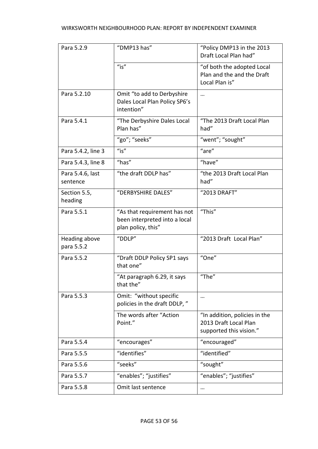| Para 5.2.9                   | "DMP13 has"                                                                         | "Policy DMP13 in the 2013<br>Draft Local Plan had"                                |
|------------------------------|-------------------------------------------------------------------------------------|-----------------------------------------------------------------------------------|
|                              | $"$ is"                                                                             | "of both the adopted Local<br>Plan and the and the Draft<br>Local Plan is"        |
| Para 5.2.10                  | Omit "to add to Derbyshire<br>Dales Local Plan Policy SP6's<br>intention"           | $\cdots$                                                                          |
| Para 5.4.1                   | "The Derbyshire Dales Local<br>Plan has"                                            | "The 2013 Draft Local Plan<br>had"                                                |
|                              | "go"; "seeks"                                                                       | "went"; "sought"                                                                  |
| Para 5.4.2, line 3           | $"$ is"                                                                             | "are"                                                                             |
| Para 5.4.3, line 8           | "has"                                                                               | "have"                                                                            |
| Para 5.4.6, last<br>sentence | "the draft DDLP has"                                                                | "the 2013 Draft Local Plan<br>had"                                                |
| Section 5.5,<br>heading      | "DERBYSHIRE DALES"                                                                  | "2013 DRAFT"                                                                      |
| Para 5.5.1                   | "As that requirement has not<br>been interpreted into a local<br>plan policy, this" | "This"                                                                            |
| Heading above<br>para 5.5.2  | "DDLP"                                                                              | "2013 Draft Local Plan"                                                           |
| Para 5.5.2                   | "Draft DDLP Policy SP1 says<br>that one"                                            | "One"                                                                             |
|                              | "At paragraph 6.29, it says<br>that the"                                            | "The"                                                                             |
| Para 5.5.3                   | Omit: "without specific<br>policies in the draft DDLP,"                             | $\cdots$                                                                          |
|                              | The words after "Action<br>Point."                                                  | "In addition, policies in the<br>2013 Draft Local Plan<br>supported this vision." |
| Para 5.5.4                   | "encourages"                                                                        | "encouraged"                                                                      |
| Para 5.5.5                   | "identifies"                                                                        | "identified"                                                                      |
| Para 5.5.6                   | "seeks"                                                                             | "sought"                                                                          |
| Para 5.5.7                   | "enables"; "justifies"                                                              | "enables"; "justifies"                                                            |
| Para 5.5.8                   | Omit last sentence                                                                  | $\cdots$                                                                          |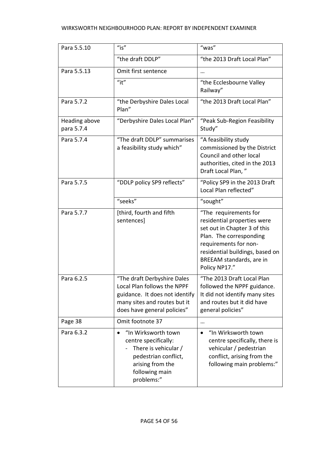| Para 5.5.10                 | $"$ is"                                                                                                                                                      | "was"                                                                                                                                                                                                                    |
|-----------------------------|--------------------------------------------------------------------------------------------------------------------------------------------------------------|--------------------------------------------------------------------------------------------------------------------------------------------------------------------------------------------------------------------------|
|                             | "the draft DDLP"                                                                                                                                             | "the 2013 Draft Local Plan"                                                                                                                                                                                              |
| Para 5.5.13                 | Omit first sentence                                                                                                                                          |                                                                                                                                                                                                                          |
|                             | $"$ it"                                                                                                                                                      | "the Ecclesbourne Valley<br>Railway"                                                                                                                                                                                     |
| Para 5.7.2                  | "the Derbyshire Dales Local<br>Plan"                                                                                                                         | "the 2013 Draft Local Plan"                                                                                                                                                                                              |
| Heading above<br>para 5.7.4 | "Derbyshire Dales Local Plan"                                                                                                                                | "Peak Sub-Region Feasibility<br>Study"                                                                                                                                                                                   |
| Para 5.7.4                  | "The draft DDLP" summarises<br>a feasibility study which"                                                                                                    | "A feasibility study<br>commissioned by the District<br>Council and other local<br>authorities, cited in the 2013<br>Draft Local Plan,"                                                                                  |
| Para 5.7.5                  | "DDLP policy SP9 reflects"                                                                                                                                   | "Policy SP9 in the 2013 Draft<br>Local Plan reflected"                                                                                                                                                                   |
|                             | "seeks"                                                                                                                                                      | "sought"                                                                                                                                                                                                                 |
| Para 5.7.7                  | [third, fourth and fifth<br>sentences]                                                                                                                       | "The requirements for<br>residential properties were<br>set out in Chapter 3 of this<br>Plan. The corresponding<br>requirements for non-<br>residential buildings, based on<br>BREEAM standards, are in<br>Policy NP17." |
| Para 6.2.5                  | "The draft Derbyshire Dales<br>Local Plan follows the NPPF<br>guidance. It does not identify<br>many sites and routes but it<br>does have general policies"  | "The 2013 Draft Local Plan<br>followed the NPPF guidance.<br>It did not identify many sites<br>and routes but it did have<br>general policies"                                                                           |
| Page 38                     | Omit footnote 37                                                                                                                                             |                                                                                                                                                                                                                          |
| Para 6.3.2                  | "In Wirksworth town<br>$\bullet$<br>centre specifically:<br>There is vehicular /<br>pedestrian conflict,<br>arising from the<br>following main<br>problems:" | "In Wirksworth town<br>$\bullet$<br>centre specifically, there is<br>vehicular / pedestrian<br>conflict, arising from the<br>following main problems:"                                                                   |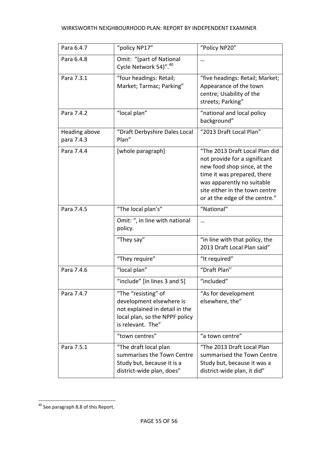| Para 6.4.7                  | "policy NP17"                                                                                                                            | "Policy NP20"                                                                                                                                                                                                                   |
|-----------------------------|------------------------------------------------------------------------------------------------------------------------------------------|---------------------------------------------------------------------------------------------------------------------------------------------------------------------------------------------------------------------------------|
| Para 6.4.8                  | Omit: "(part of National<br>Cycle Network 54)". <sup>40</sup>                                                                            |                                                                                                                                                                                                                                 |
| Para 7.3.1                  | "four headings: Retail;<br>Market; Tarmac; Parking"                                                                                      | "five headings: Retail; Market;<br>Appearance of the town<br>centre; Usability of the<br>streets; Parking"                                                                                                                      |
| Para 7.4.2                  | "local plan"                                                                                                                             | "national and local policy<br>background"                                                                                                                                                                                       |
| Heading above<br>para 7.4.3 | "Draft Derbyshire Dales Local<br>Plan"                                                                                                   | "2013 Draft Local Plan"                                                                                                                                                                                                         |
| Para 7.4.4                  | [whole paragraph]                                                                                                                        | "The 2013 Draft Local Plan did<br>not provide for a significant<br>new food shop since, at the<br>time it was prepared, there<br>was apparently no suitable<br>site either in the town centre<br>or at the edge of the centre." |
| Para 7.4.5                  | "The local plan's"                                                                                                                       | "National"                                                                                                                                                                                                                      |
|                             | Omit: ", in line with national<br>policy.                                                                                                |                                                                                                                                                                                                                                 |
|                             | "They say"                                                                                                                               | "in line with that policy, the<br>2013 Draft Local Plan said"                                                                                                                                                                   |
|                             | "They require"                                                                                                                           | "It required"                                                                                                                                                                                                                   |
| Para 7.4.6                  | "local plan"                                                                                                                             | "Draft Plan"                                                                                                                                                                                                                    |
|                             | "include" [in lines 3 and 5]                                                                                                             | "included"                                                                                                                                                                                                                      |
| Para 7.4.7                  | "The "resisting" of<br>development elsewhere is<br>not explained in detail in the<br>local plan, so the NPPF policy<br>is relevant. The" | "As for development<br>elsewhere, the"                                                                                                                                                                                          |
|                             | "town centres"                                                                                                                           | "a town centre"                                                                                                                                                                                                                 |
| Para 7.5.1                  | "The draft local plan<br>summarises the Town Centre<br>Study but, because it is a<br>district-wide plan, does"                           | "The 2013 Draft Local Plan<br>summarised the Town Centre<br>Study but, because it was a<br>district-wide plan, it did"                                                                                                          |

 $\overline{\phantom{a}}$ <sup>40</sup> See paragraph 8.8 of this Report.